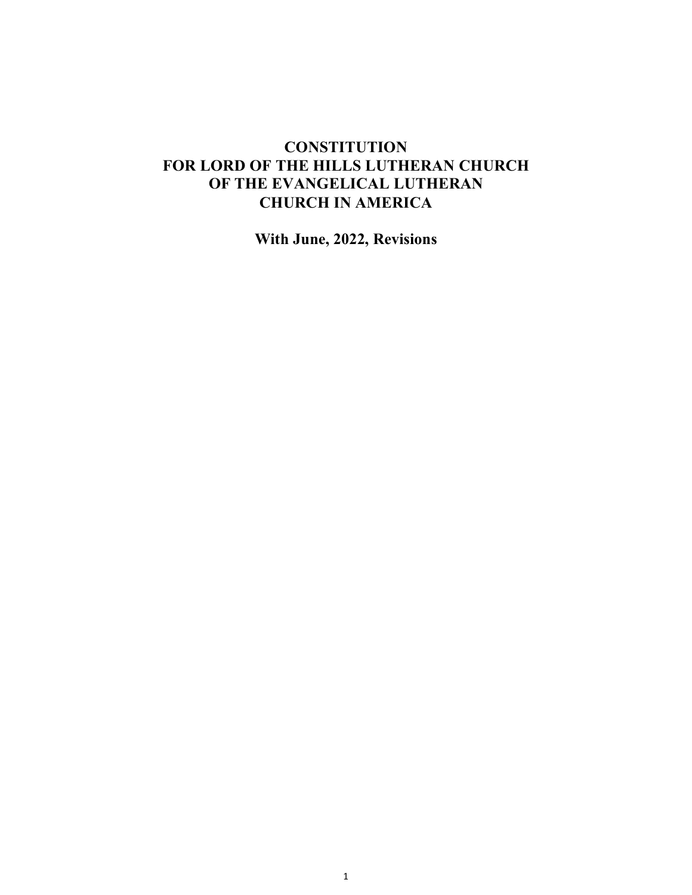# **CONSTITUTION FOR LORD OF THE HILLS LUTHERAN CHURCH OF THE EVANGELICAL LUTHERAN CHURCH IN AMERICA**

**With June, 2022, Revisions**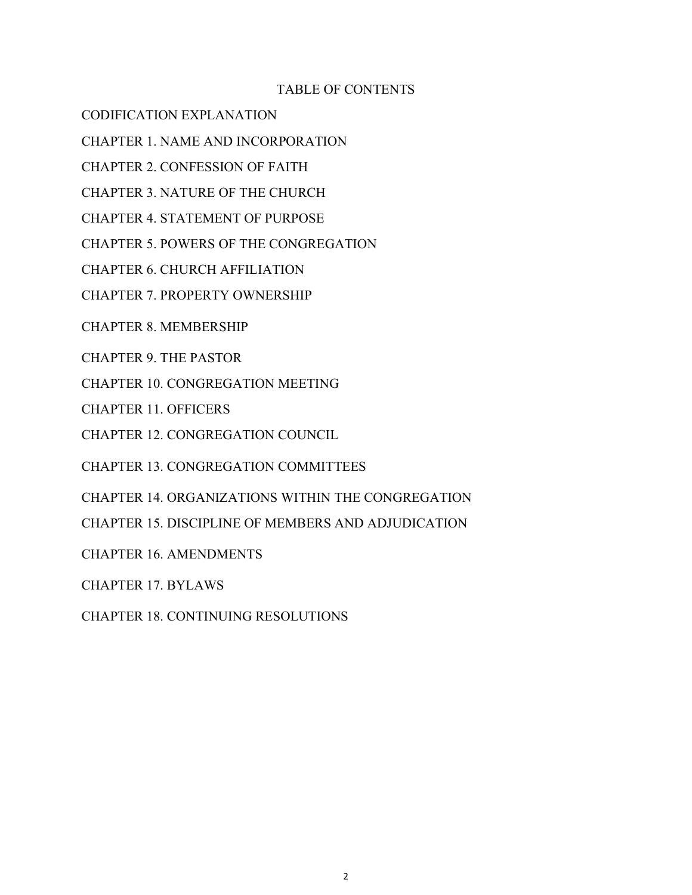## TABLE OF CONTENTS

CODIFICATION EXPLANATION

CHAPTER 1. NAME AND INCORPORATION

CHAPTER 2. CONFESSION OF FAITH

CHAPTER 3. NATURE OF THE CHURCH

CHAPTER 4. STATEMENT OF PURPOSE

CHAPTER 5. POWERS OF THE CONGREGATION

CHAPTER 6. CHURCH AFFILIATION

CHAPTER 7. PROPERTY OWNERSHIP

CHAPTER 8. MEMBERSHIP

CHAPTER 9. THE PASTOR

CHAPTER 10. CONGREGATION MEETING

CHAPTER 11. OFFICERS

CHAPTER 12. CONGREGATION COUNCIL

CHAPTER 13. CONGREGATION COMMITTEES

CHAPTER 14. ORGANIZATIONS WITHIN THE CONGREGATION

CHAPTER 15. DISCIPLINE OF MEMBERS AND ADJUDICATION

CHAPTER 16. AMENDMENTS

CHAPTER 17. BYLAWS

CHAPTER 18. CONTINUING RESOLUTIONS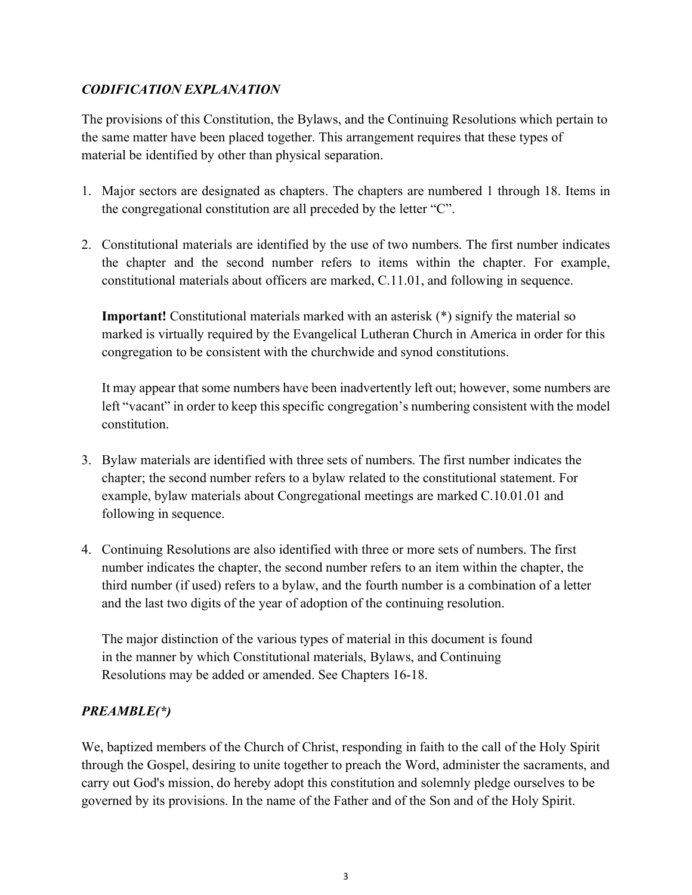## *CODIFICATION EXPLANATION*

The provisions of this Constitution, the Bylaws, and the Continuing Resolutions which pertain to the same matter have been placed together. This arrangement requires that these types of material be identified by other than physical separation.

- 1. Major sectors are designated as chapters. The chapters are numbered 1 through 18. Items in the congregational constitution are all preceded by the letter "C".
- 2. Constitutional materials are identified by the use of two numbers. The first number indicates the chapter and the second number refers to items within the chapter. For example, constitutional materials about officers are marked, C.11.01, and following in sequence.

**Important!** Constitutional materials marked with an asterisk (\*) signify the material so marked is virtually required by the Evangelical Lutheran Church in America in order for this congregation to be consistent with the churchwide and synod constitutions.

It may appear that some numbers have been inadvertently left out; however, some numbers are left "vacant" in order to keep this specific congregation's numbering consistent with the model constitution.

- 3. Bylaw materials are identified with three sets of numbers. The first number indicates the chapter; the second number refers to a bylaw related to the constitutional statement. For example, bylaw materials about Congregational meetings are marked C.10.01.01 and following in sequence.
- 4. Continuing Resolutions are also identified with three or more sets of numbers. The first number indicates the chapter, the second number refers to an item within the chapter, the third number (if used) refers to a bylaw, and the fourth number is a combination of a letter and the last two digits of the year of adoption of the continuing resolution.

The major distinction of the various types of material in this document is found in the manner by which Constitutional materials, Bylaws, and Continuing Resolutions may be added or amended. See Chapters 16-18.

## *PREAMBLE(\*)*

We, baptized members of the Church of Christ, responding in faith to the call of the Holy Spirit through the Gospel, desiring to unite together to preach the Word, administer the sacraments, and carry out God's mission, do hereby adopt this constitution and solemnly pledge ourselves to be governed by its provisions. In the name of the Father and of the Son and of the Holy Spirit.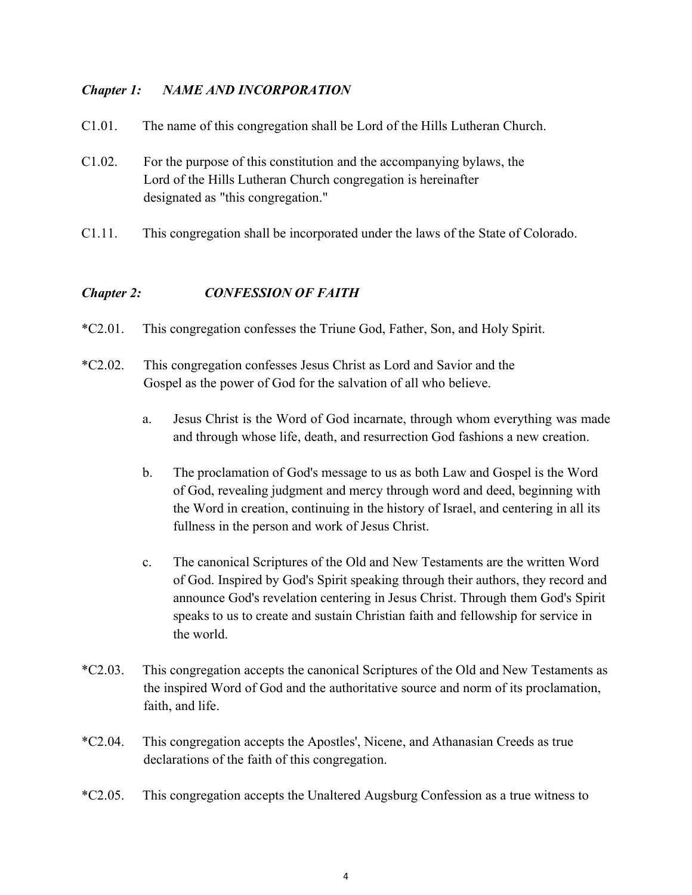## *Chapter 1: NAME AND INCORPORATION*

- C1.01. The name of this congregation shall be Lord of the Hills Lutheran Church.
- C1.02. For the purpose of this constitution and the accompanying bylaws, the Lord of the Hills Lutheran Church congregation is hereinafter designated as "this congregation."
- C1.11. This congregation shall be incorporated under the laws of the State of Colorado.

## *Chapter 2: CONFESSION OF FAITH*

- \*C2.01. This congregation confesses the Triune God, Father, Son, and Holy Spirit.
- \*C2.02. This congregation confesses Jesus Christ as Lord and Savior and the Gospel as the power of God for the salvation of all who believe.
	- a. Jesus Christ is the Word of God incarnate, through whom everything was made and through whose life, death, and resurrection God fashions a new creation.
	- b. The proclamation of God's message to us as both Law and Gospel is the Word of God, revealing judgment and mercy through word and deed, beginning with the Word in creation, continuing in the history of Israel, and centering in all its fullness in the person and work of Jesus Christ.
	- c. The canonical Scriptures of the Old and New Testaments are the written Word of God. Inspired by God's Spirit speaking through their authors, they record and announce God's revelation centering in Jesus Christ. Through them God's Spirit speaks to us to create and sustain Christian faith and fellowship for service in the world.
- \*C2.03. This congregation accepts the canonical Scriptures of the Old and New Testaments as the inspired Word of God and the authoritative source and norm of its proclamation, faith, and life.
- \*C2.04. This congregation accepts the Apostles', Nicene, and Athanasian Creeds as true declarations of the faith of this congregation.
- \*C2.05. This congregation accepts the Unaltered Augsburg Confession as a true witness to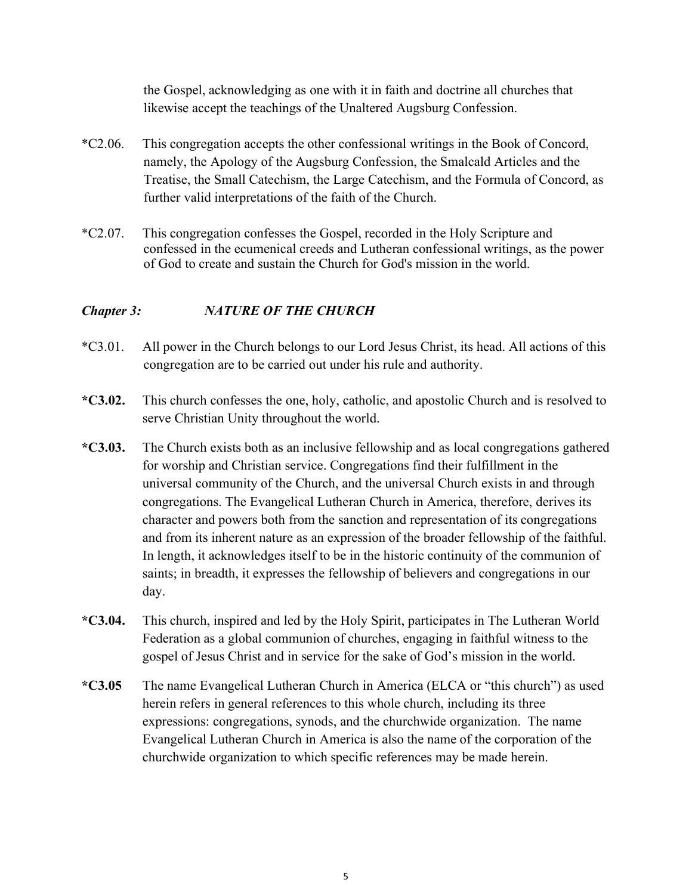the Gospel, acknowledging as one with it in faith and doctrine all churches that likewise accept the teachings of the Unaltered Augsburg Confession.

- \*C2.06. This congregation accepts the other confessional writings in the Book of Concord, namely, the Apology of the Augsburg Confession, the Smalcald Articles and the Treatise, the Small Catechism, the Large Catechism, and the Formula of Concord, as further valid interpretations of the faith of the Church.
- \*C2.07. This congregation confesses the Gospel, recorded in the Holy Scripture and confessed in the ecumenical creeds and Lutheran confessional writings, as the power of God to create and sustain the Church for God's mission in the world.

## *Chapter 3: NATURE OF THE CHURCH*

- \*C3.01. All power in the Church belongs to our Lord Jesus Christ, its head. All actions of this congregation are to be carried out under his rule and authority.
- **\*C3.02.** This church confesses the one, holy, catholic, and apostolic Church and is resolved to serve Christian Unity throughout the world.
- **\*C3.03.** The Church exists both as an inclusive fellowship and as local congregations gathered for worship and Christian service. Congregations find their fulfillment in the universal community of the Church, and the universal Church exists in and through congregations. The Evangelical Lutheran Church in America, therefore, derives its character and powers both from the sanction and representation of its congregations and from its inherent nature as an expression of the broader fellowship of the faithful. In length, it acknowledges itself to be in the historic continuity of the communion of saints; in breadth, it expresses the fellowship of believers and congregations in our day.
- **\*C3.04.** This church, inspired and led by the Holy Spirit, participates in The Lutheran World Federation as a global communion of churches, engaging in faithful witness to the gospel of Jesus Christ and in service for the sake of God's mission in the world.
- **\*C3.05** The name Evangelical Lutheran Church in America (ELCA or "this church") as used herein refers in general references to this whole church, including its three expressions: congregations, synods, and the churchwide organization. The name Evangelical Lutheran Church in America is also the name of the corporation of the churchwide organization to which specific references may be made herein.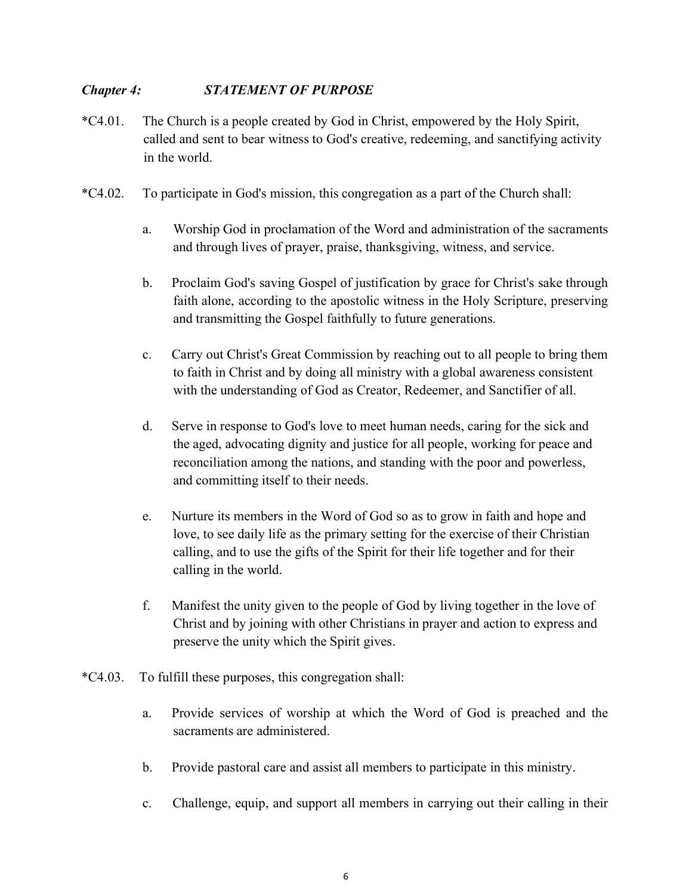## *Chapter 4: STATEMENT OF PURPOSE*

- \*C4.01. The Church is a people created by God in Christ, empowered by the Holy Spirit, called and sent to bear witness to God's creative, redeeming, and sanctifying activity in the world.
- \*C4.02. To participate in God's mission, this congregation as a part of the Church shall:
	- a. Worship God in proclamation of the Word and administration of the sacraments and through lives of prayer, praise, thanksgiving, witness, and service.
	- b. Proclaim God's saving Gospel of justification by grace for Christ's sake through faith alone, according to the apostolic witness in the Holy Scripture, preserving and transmitting the Gospel faithfully to future generations.
	- c. Carry out Christ's Great Commission by reaching out to all people to bring them to faith in Christ and by doing all ministry with a global awareness consistent with the understanding of God as Creator, Redeemer, and Sanctifier of all.
	- d. Serve in response to God's love to meet human needs, caring for the sick and the aged, advocating dignity and justice for all people, working for peace and reconciliation among the nations, and standing with the poor and powerless, and committing itself to their needs.
	- e. Nurture its members in the Word of God so as to grow in faith and hope and love, to see daily life as the primary setting for the exercise of their Christian calling, and to use the gifts of the Spirit for their life together and for their calling in the world.
	- f. Manifest the unity given to the people of God by living together in the love of Christ and by joining with other Christians in prayer and action to express and preserve the unity which the Spirit gives.
- \*C4.03. To fulfill these purposes, this congregation shall:
	- a. Provide services of worship at which the Word of God is preached and the sacraments are administered.
	- b. Provide pastoral care and assist all members to participate in this ministry.
	- c. Challenge, equip, and support all members in carrying out their calling in their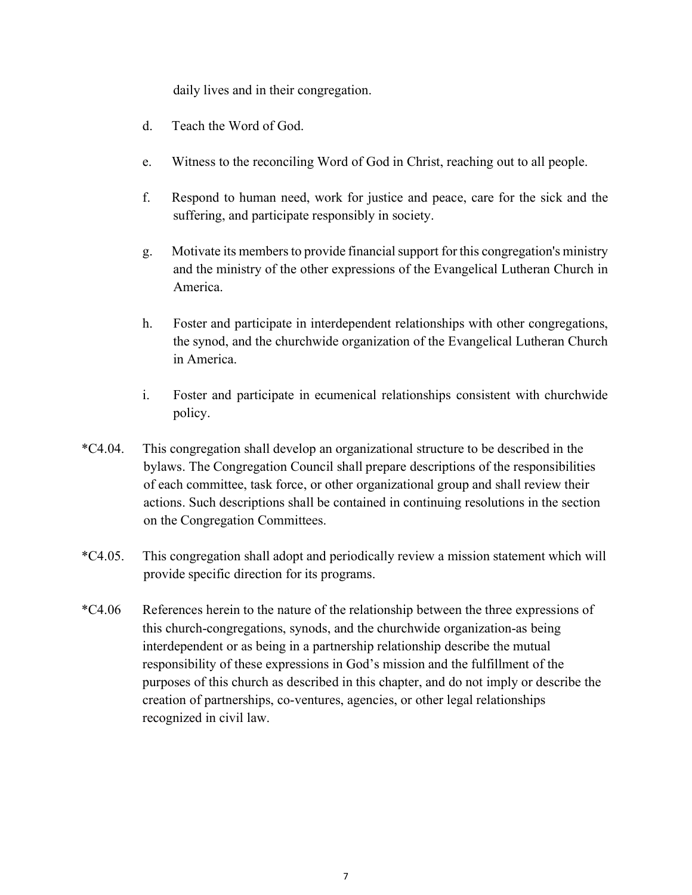daily lives and in their congregation.

- d. Teach the Word of God.
- e. Witness to the reconciling Word of God in Christ, reaching out to all people.
- f. Respond to human need, work for justice and peace, care for the sick and the suffering, and participate responsibly in society.
- g. Motivate its members to provide financial support for this congregation's ministry and the ministry of the other expressions of the Evangelical Lutheran Church in America.
- h. Foster and participate in interdependent relationships with other congregations, the synod, and the churchwide organization of the Evangelical Lutheran Church in America.
- i. Foster and participate in ecumenical relationships consistent with churchwide policy.
- \*C4.04. This congregation shall develop an organizational structure to be described in the bylaws. The Congregation Council shall prepare descriptions of the responsibilities of each committee, task force, or other organizational group and shall review their actions. Such descriptions shall be contained in continuing resolutions in the section on the Congregation Committees.
- \*C4.05. This congregation shall adopt and periodically review a mission statement which will provide specific direction for its programs.
- \*C4.06 References herein to the nature of the relationship between the three expressions of this church-congregations, synods, and the churchwide organization-as being interdependent or as being in a partnership relationship describe the mutual responsibility of these expressions in God's mission and the fulfillment of the purposes of this church as described in this chapter, and do not imply or describe the creation of partnerships, co-ventures, agencies, or other legal relationships recognized in civil law.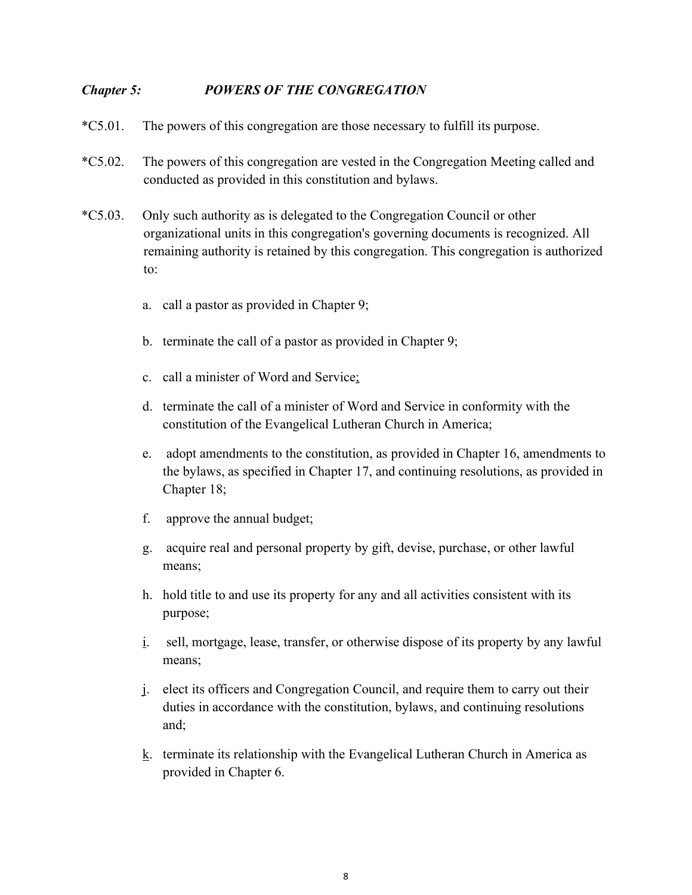## *Chapter 5: POWERS OF THE CONGREGATION*

- \*C5.01. The powers of this congregation are those necessary to fulfill its purpose.
- \*C5.02. The powers of this congregation are vested in the Congregation Meeting called and conducted as provided in this constitution and bylaws.
- \*C5.03. Only such authority as is delegated to the Congregation Council or other organizational units in this congregation's governing documents is recognized. All remaining authority is retained by this congregation. This congregation is authorized to:
	- a. call a pastor as provided in Chapter 9;
	- b. terminate the call of a pastor as provided in Chapter 9;
	- c. call a minister of Word and Service;
	- d. terminate the call of a minister of Word and Service in conformity with the constitution of the Evangelical Lutheran Church in America;
	- e. adopt amendments to the constitution, as provided in Chapter 16, amendments to the bylaws, as specified in Chapter 17, and continuing resolutions, as provided in Chapter 18;
	- f. approve the annual budget;
	- g. acquire real and personal property by gift, devise, purchase, or other lawful means;
	- h. hold title to and use its property for any and all activities consistent with its purpose;
	- i. sell, mortgage, lease, transfer, or otherwise dispose of its property by any lawful means;
	- j. elect its officers and Congregation Council, and require them to carry out their duties in accordance with the constitution, bylaws, and continuing resolutions and;
	- k. terminate its relationship with the Evangelical Lutheran Church in America as provided in Chapter 6.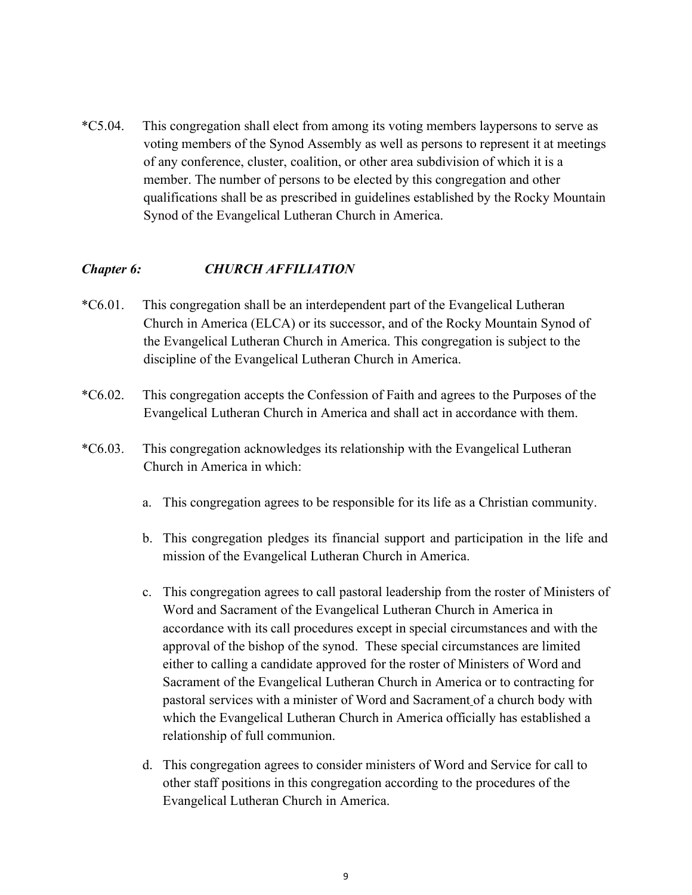\*C5.04. This congregation shall elect from among its voting members laypersons to serve as voting members of the Synod Assembly as well as persons to represent it at meetings of any conference, cluster, coalition, or other area subdivision of which it is a member. The number of persons to be elected by this congregation and other qualifications shall be as prescribed in guidelines established by the Rocky Mountain Synod of the Evangelical Lutheran Church in America.

#### *Chapter 6: CHURCH AFFILIATION*

- \*C6.01. This congregation shall be an interdependent part of the Evangelical Lutheran Church in America (ELCA) or its successor, and of the Rocky Mountain Synod of the Evangelical Lutheran Church in America. This congregation is subject to the discipline of the Evangelical Lutheran Church in America.
- \*C6.02. This congregation accepts the Confession of Faith and agrees to the Purposes of the Evangelical Lutheran Church in America and shall act in accordance with them.
- \*C6.03. This congregation acknowledges its relationship with the Evangelical Lutheran Church in America in which:
	- a. This congregation agrees to be responsible for its life as a Christian community.
	- b. This congregation pledges its financial support and participation in the life and mission of the Evangelical Lutheran Church in America.
	- c. This congregation agrees to call pastoral leadership from the roster of Ministers of Word and Sacrament of the Evangelical Lutheran Church in America in accordance with its call procedures except in special circumstances and with the approval of the bishop of the synod. These special circumstances are limited either to calling a candidate approved for the roster of Ministers of Word and Sacrament of the Evangelical Lutheran Church in America or to contracting for pastoral services with a minister of Word and Sacrament of a church body with which the Evangelical Lutheran Church in America officially has established a relationship of full communion.
	- d. This congregation agrees to consider ministers of Word and Service for call to other staff positions in this congregation according to the procedures of the Evangelical Lutheran Church in America.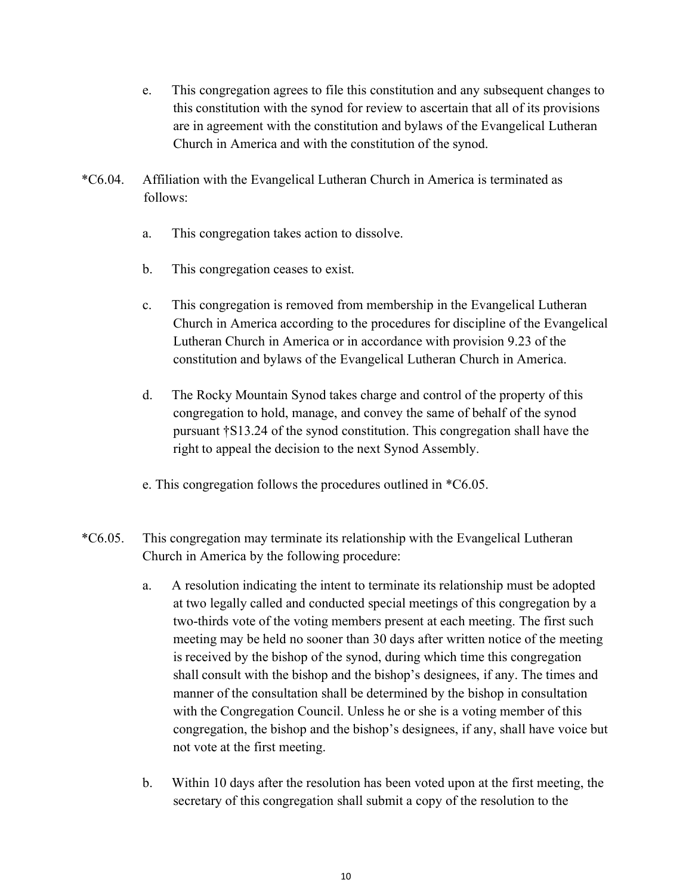- e. This congregation agrees to file this constitution and any subsequent changes to this constitution with the synod for review to ascertain that all of its provisions are in agreement with the constitution and bylaws of the Evangelical Lutheran Church in America and with the constitution of the synod.
- \*C6.04. Affiliation with the Evangelical Lutheran Church in America is terminated as follows:
	- a. This congregation takes action to dissolve.
	- b. This congregation ceases to exist.
	- c. This congregation is removed from membership in the Evangelical Lutheran Church in America according to the procedures for discipline of the Evangelical Lutheran Church in America or in accordance with provision 9.23 of the constitution and bylaws of the Evangelical Lutheran Church in America.
	- d. The Rocky Mountain Synod takes charge and control of the property of this congregation to hold, manage, and convey the same of behalf of the synod pursuant †S13.24 of the synod constitution. This congregation shall have the right to appeal the decision to the next Synod Assembly.
	- e. This congregation follows the procedures outlined in \*C6.05.
- \*C6.05. This congregation may terminate its relationship with the Evangelical Lutheran Church in America by the following procedure:
	- a. A resolution indicating the intent to terminate its relationship must be adopted at two legally called and conducted special meetings of this congregation by a two-thirds vote of the voting members present at each meeting. The first such meeting may be held no sooner than 30 days after written notice of the meeting is received by the bishop of the synod, during which time this congregation shall consult with the bishop and the bishop's designees, if any. The times and manner of the consultation shall be determined by the bishop in consultation with the Congregation Council. Unless he or she is a voting member of this congregation, the bishop and the bishop's designees, if any, shall have voice but not vote at the first meeting.
	- b. Within 10 days after the resolution has been voted upon at the first meeting, the secretary of this congregation shall submit a copy of the resolution to the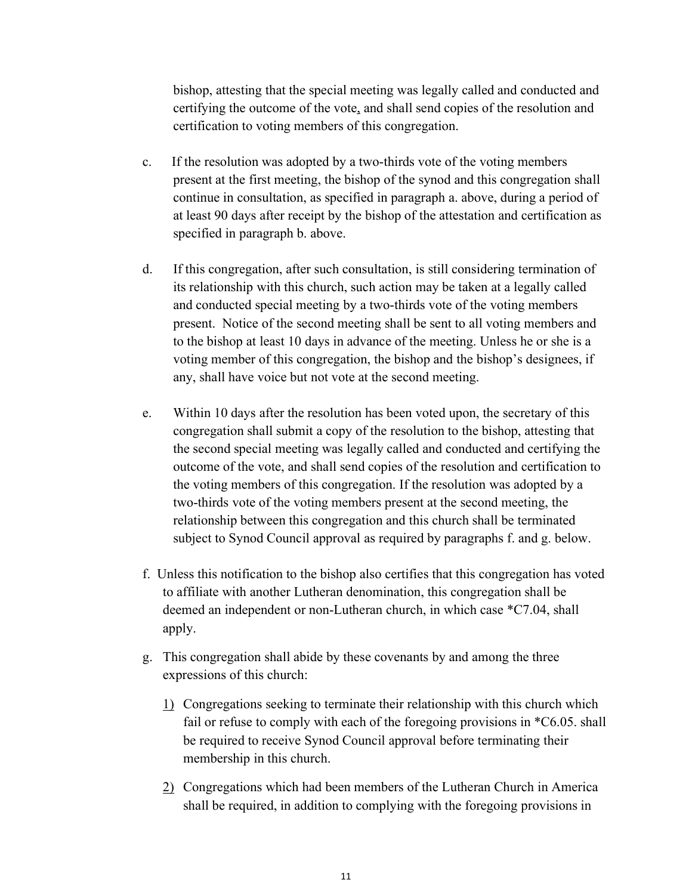bishop, attesting that the special meeting was legally called and conducted and certifying the outcome of the vote, and shall send copies of the resolution and certification to voting members of this congregation.

- c. If the resolution was adopted by a two-thirds vote of the voting members present at the first meeting, the bishop of the synod and this congregation shall continue in consultation, as specified in paragraph a. above, during a period of at least 90 days after receipt by the bishop of the attestation and certification as specified in paragraph b. above.
- d. If this congregation, after such consultation, is still considering termination of its relationship with this church, such action may be taken at a legally called and conducted special meeting by a two-thirds vote of the voting members present. Notice of the second meeting shall be sent to all voting members and to the bishop at least 10 days in advance of the meeting. Unless he or she is a voting member of this congregation, the bishop and the bishop's designees, if any, shall have voice but not vote at the second meeting.
- e. Within 10 days after the resolution has been voted upon, the secretary of this congregation shall submit a copy of the resolution to the bishop, attesting that the second special meeting was legally called and conducted and certifying the outcome of the vote, and shall send copies of the resolution and certification to the voting members of this congregation. If the resolution was adopted by a two-thirds vote of the voting members present at the second meeting, the relationship between this congregation and this church shall be terminated subject to Synod Council approval as required by paragraphs f. and g. below.
- f. Unless this notification to the bishop also certifies that this congregation has voted to affiliate with another Lutheran denomination, this congregation shall be deemed an independent or non-Lutheran church, in which case \*C7.04, shall apply.
- g. This congregation shall abide by these covenants by and among the three expressions of this church:
	- 1) Congregations seeking to terminate their relationship with this church which fail or refuse to comply with each of the foregoing provisions in \*C6.05. shall be required to receive Synod Council approval before terminating their membership in this church.
	- 2) Congregations which had been members of the Lutheran Church in America shall be required, in addition to complying with the foregoing provisions in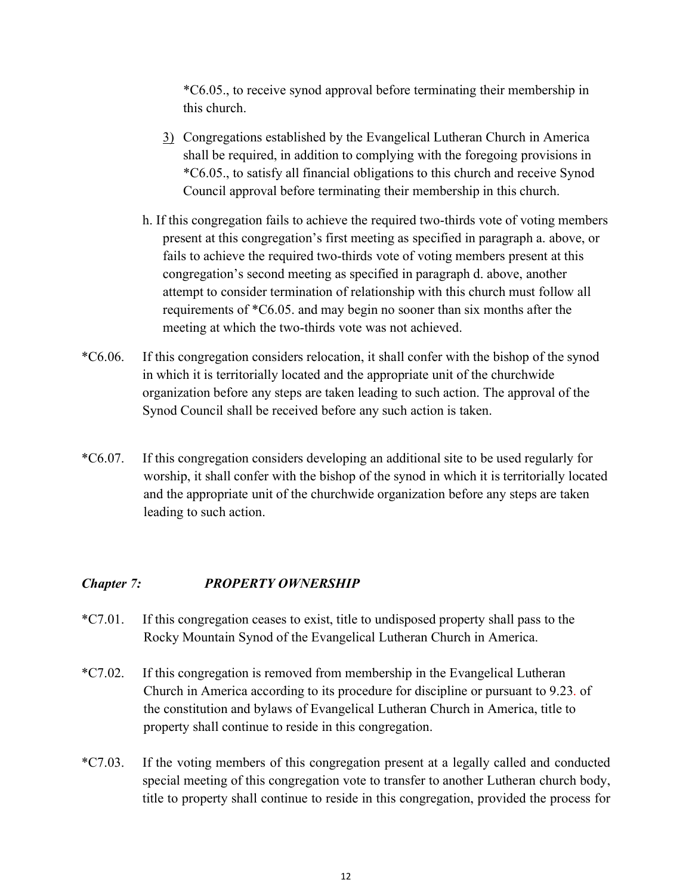\*C6.05., to receive synod approval before terminating their membership in this church.

- 3) Congregations established by the Evangelical Lutheran Church in America shall be required, in addition to complying with the foregoing provisions in \*C6.05., to satisfy all financial obligations to this church and receive Synod Council approval before terminating their membership in this church.
- h. If this congregation fails to achieve the required two-thirds vote of voting members present at this congregation's first meeting as specified in paragraph a. above, or fails to achieve the required two-thirds vote of voting members present at this congregation's second meeting as specified in paragraph d. above, another attempt to consider termination of relationship with this church must follow all requirements of \*C6.05. and may begin no sooner than six months after the meeting at which the two-thirds vote was not achieved.
- \*C6.06. If this congregation considers relocation, it shall confer with the bishop of the synod in which it is territorially located and the appropriate unit of the churchwide organization before any steps are taken leading to such action. The approval of the Synod Council shall be received before any such action is taken.
- \*C6.07. If this congregation considers developing an additional site to be used regularly for worship, it shall confer with the bishop of the synod in which it is territorially located and the appropriate unit of the churchwide organization before any steps are taken leading to such action.

## *Chapter 7: PROPERTY OWNERSHIP*

- \*C7.01. If this congregation ceases to exist, title to undisposed property shall pass to the Rocky Mountain Synod of the Evangelical Lutheran Church in America.
- \*C7.02. If this congregation is removed from membership in the Evangelical Lutheran Church in America according to its procedure for discipline or pursuant to 9.23. of the constitution and bylaws of Evangelical Lutheran Church in America, title to property shall continue to reside in this congregation.
- \*C7.03. If the voting members of this congregation present at a legally called and conducted special meeting of this congregation vote to transfer to another Lutheran church body, title to property shall continue to reside in this congregation, provided the process for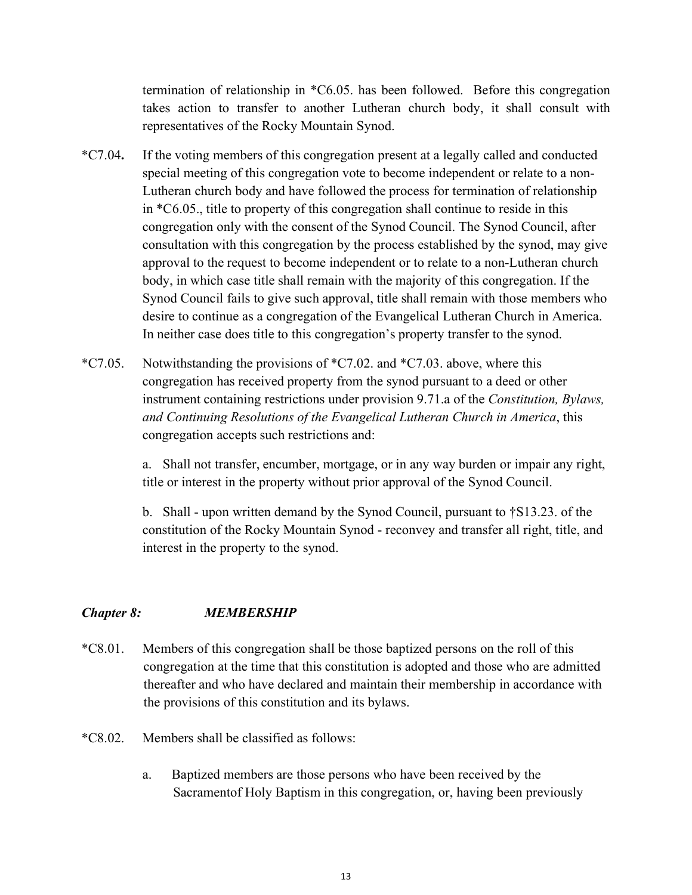termination of relationship in \*C6.05. has been followed. Before this congregation takes action to transfer to another Lutheran church body, it shall consult with representatives of the Rocky Mountain Synod.

- \*C7.04**.** If the voting members of this congregation present at a legally called and conducted special meeting of this congregation vote to become independent or relate to a non-Lutheran church body and have followed the process for termination of relationship in \*C6.05., title to property of this congregation shall continue to reside in this congregation only with the consent of the Synod Council. The Synod Council, after consultation with this congregation by the process established by the synod, may give approval to the request to become independent or to relate to a non-Lutheran church body, in which case title shall remain with the majority of this congregation. If the Synod Council fails to give such approval, title shall remain with those members who desire to continue as a congregation of the Evangelical Lutheran Church in America. In neither case does title to this congregation's property transfer to the synod.
- \*C7.05. Notwithstanding the provisions of  $^{\ast}$ C7.02. and  $^{\ast}$ C7.03. above, where this congregation has received property from the synod pursuant to a deed or other instrument containing restrictions under provision 9.71.a of the *Constitution, Bylaws, and Continuing Resolutions of the Evangelical Lutheran Church in America*, this congregation accepts such restrictions and:

a. Shall not transfer, encumber, mortgage, or in any way burden or impair any right, title or interest in the property without prior approval of the Synod Council.

b. Shall - upon written demand by the Synod Council, pursuant to †S13.23. of the constitution of the Rocky Mountain Synod - reconvey and transfer all right, title, and interest in the property to the synod.

## *Chapter 8: MEMBERSHIP*

- \*C8.01. Members of this congregation shall be those baptized persons on the roll of this congregation at the time that this constitution is adopted and those who are admitted thereafter and who have declared and maintain their membership in accordance with the provisions of this constitution and its bylaws.
- \*C8.02. Members shall be classified as follows:
	- a. Baptized members are those persons who have been received by the Sacramentof Holy Baptism in this congregation, or, having been previously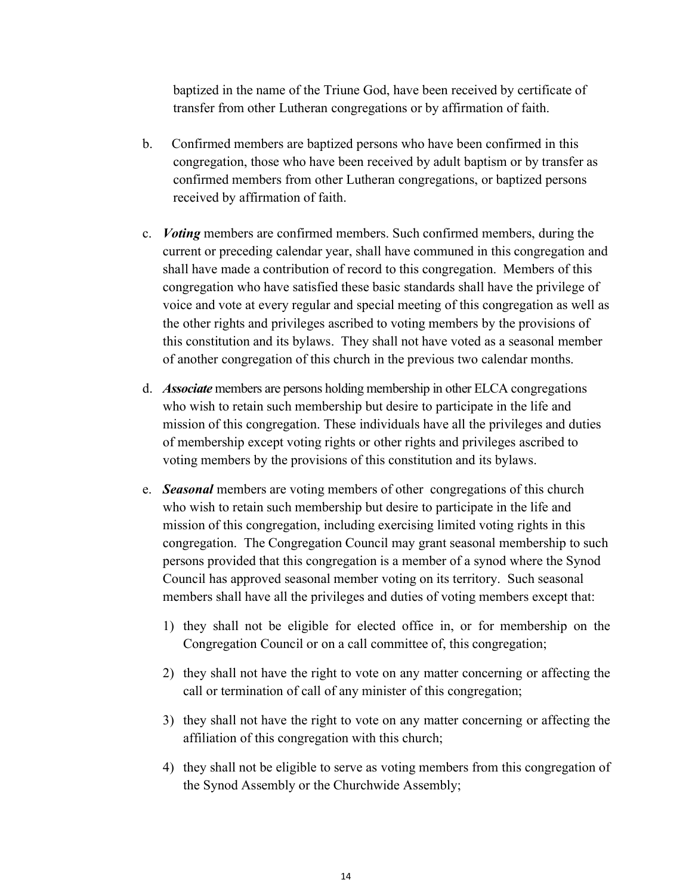baptized in the name of the Triune God, have been received by certificate of transfer from other Lutheran congregations or by affirmation of faith.

- b. Confirmed members are baptized persons who have been confirmed in this congregation, those who have been received by adult baptism or by transfer as confirmed members from other Lutheran congregations, or baptized persons received by affirmation of faith.
- c. *Voting* members are confirmed members. Such confirmed members, during the current or preceding calendar year, shall have communed in this congregation and shall have made a contribution of record to this congregation. Members of this congregation who have satisfied these basic standards shall have the privilege of voice and vote at every regular and special meeting of this congregation as well as the other rights and privileges ascribed to voting members by the provisions of this constitution and its bylaws. They shall not have voted as a seasonal member of another congregation of this church in the previous two calendar months.
- d. *Associate* members are persons holding membership in other ELCA congregations who wish to retain such membership but desire to participate in the life and mission of this congregation. These individuals have all the privileges and duties of membership except voting rights or other rights and privileges ascribed to voting members by the provisions of this constitution and its bylaws.
- e. *Seasonal* members are voting members of other congregations of this church who wish to retain such membership but desire to participate in the life and mission of this congregation, including exercising limited voting rights in this congregation. The Congregation Council may grant seasonal membership to such persons provided that this congregation is a member of a synod where the Synod Council has approved seasonal member voting on its territory. Such seasonal members shall have all the privileges and duties of voting members except that:
	- 1) they shall not be eligible for elected office in, or for membership on the Congregation Council or on a call committee of, this congregation;
	- 2) they shall not have the right to vote on any matter concerning or affecting the call or termination of call of any minister of this congregation;
	- 3) they shall not have the right to vote on any matter concerning or affecting the affiliation of this congregation with this church;
	- 4) they shall not be eligible to serve as voting members from this congregation of the Synod Assembly or the Churchwide Assembly;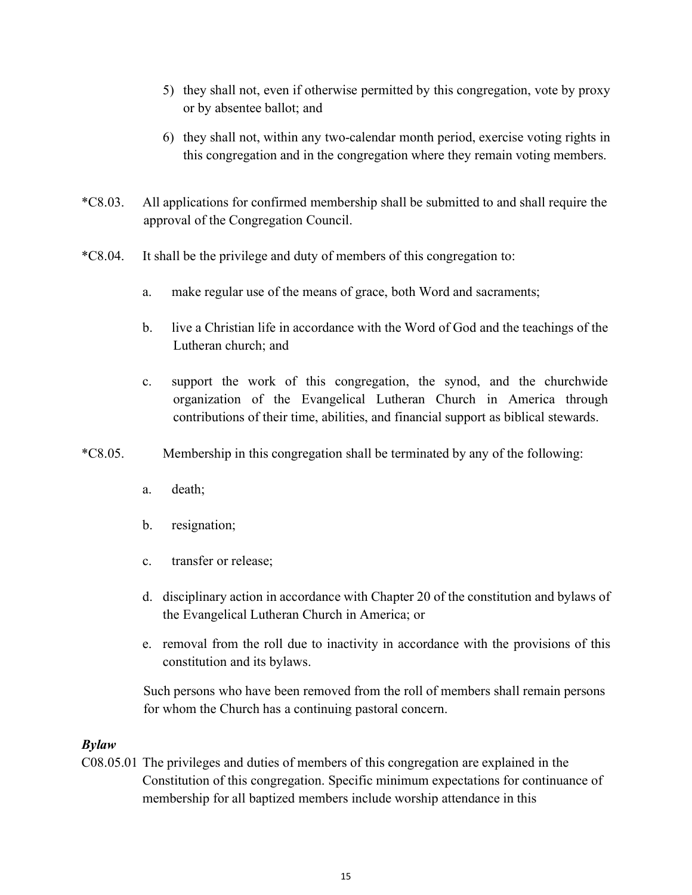- 5) they shall not, even if otherwise permitted by this congregation, vote by proxy or by absentee ballot; and
- 6) they shall not, within any two-calendar month period, exercise voting rights in this congregation and in the congregation where they remain voting members.
- \*C8.03. All applications for confirmed membership shall be submitted to and shall require the approval of the Congregation Council.
- \*C8.04. It shall be the privilege and duty of members of this congregation to:
	- a. make regular use of the means of grace, both Word and sacraments;
	- b. live a Christian life in accordance with the Word of God and the teachings of the Lutheran church; and
	- c. support the work of this congregation, the synod, and the churchwide organization of the Evangelical Lutheran Church in America through contributions of their time, abilities, and financial support as biblical stewards.
- \*C8.05. Membership in this congregation shall be terminated by any of the following:
	- a. death;
	- b. resignation;
	- c. transfer or release;
	- d. disciplinary action in accordance with Chapter 20 of the constitution and bylaws of the Evangelical Lutheran Church in America; or
	- e. removal from the roll due to inactivity in accordance with the provisions of this constitution and its bylaws.

Such persons who have been removed from the roll of members shall remain persons for whom the Church has a continuing pastoral concern.

### *Bylaw*

C08.05.01 The privileges and duties of members of this congregation are explained in the Constitution of this congregation. Specific minimum expectations for continuance of membership for all baptized members include worship attendance in this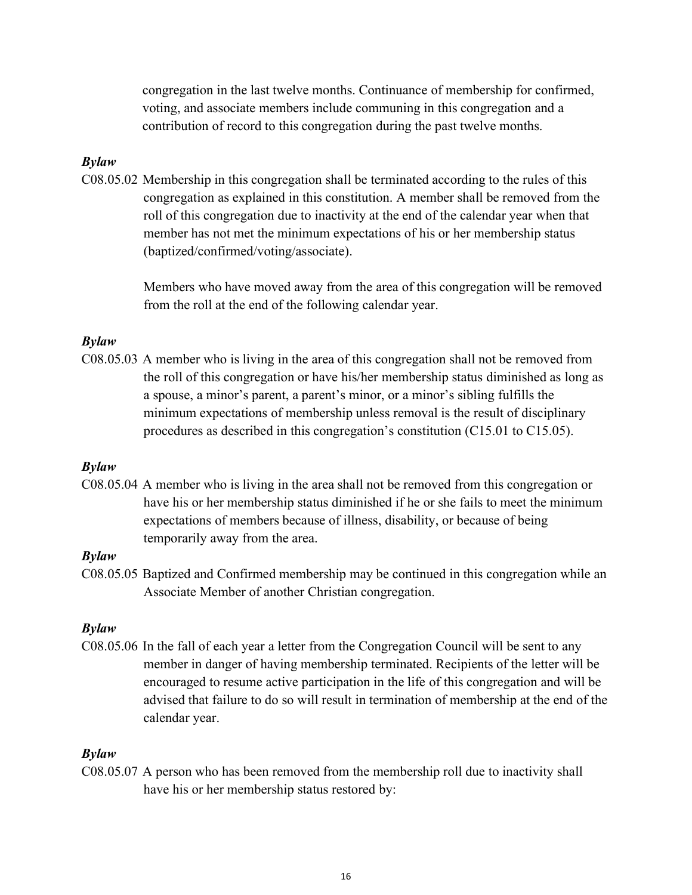congregation in the last twelve months. Continuance of membership for confirmed, voting, and associate members include communing in this congregation and a contribution of record to this congregation during the past twelve months.

#### *Bylaw*

C08.05.02 Membership in this congregation shall be terminated according to the rules of this congregation as explained in this constitution. A member shall be removed from the roll of this congregation due to inactivity at the end of the calendar year when that member has not met the minimum expectations of his or her membership status (baptized/confirmed/voting/associate).

> Members who have moved away from the area of this congregation will be removed from the roll at the end of the following calendar year.

#### *Bylaw*

C08.05.03 A member who is living in the area of this congregation shall not be removed from the roll of this congregation or have his/her membership status diminished as long as a spouse, a minor's parent, a parent's minor, or a minor's sibling fulfills the minimum expectations of membership unless removal is the result of disciplinary procedures as described in this congregation's constitution (C15.01 to C15.05).

#### *Bylaw*

C08.05.04 A member who is living in the area shall not be removed from this congregation or have his or her membership status diminished if he or she fails to meet the minimum expectations of members because of illness, disability, or because of being temporarily away from the area.

#### *Bylaw*

C08.05.05 Baptized and Confirmed membership may be continued in this congregation while an Associate Member of another Christian congregation.

#### *Bylaw*

C08.05.06 In the fall of each year a letter from the Congregation Council will be sent to any member in danger of having membership terminated. Recipients of the letter will be encouraged to resume active participation in the life of this congregation and will be advised that failure to do so will result in termination of membership at the end of the calendar year.

### *Bylaw*

C08.05.07 A person who has been removed from the membership roll due to inactivity shall have his or her membership status restored by: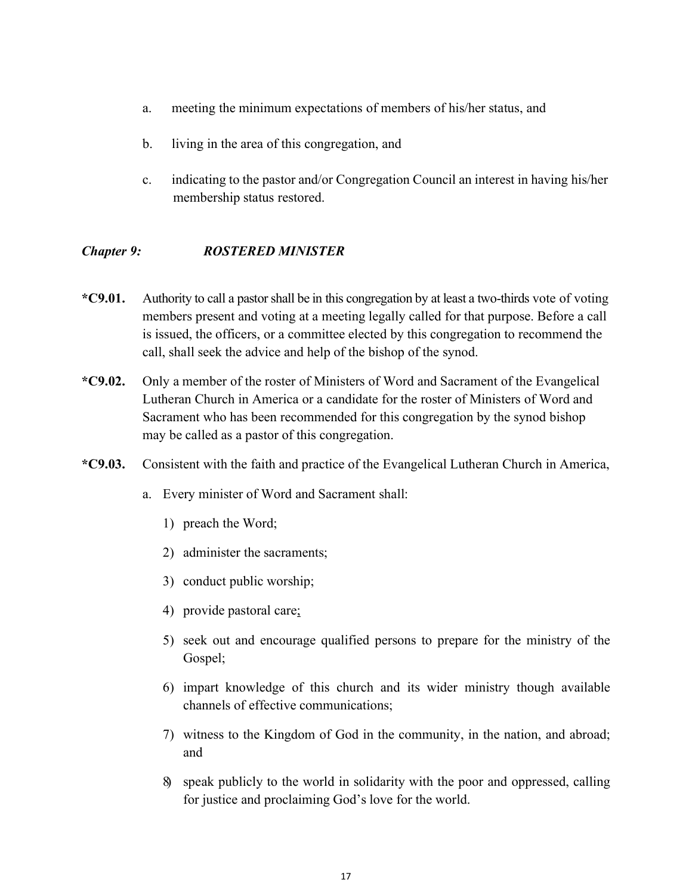- a. meeting the minimum expectations of members of his/her status, and
- b. living in the area of this congregation, and
- c. indicating to the pastor and/or Congregation Council an interest in having his/her membership status restored.

## *Chapter 9: ROSTERED MINISTER*

- **\*C9.01.** Authority to call a pastorshall be in this congregation by at least a two-thirds vote of voting members present and voting at a meeting legally called for that purpose. Before a call is issued, the officers, or a committee elected by this congregation to recommend the call, shall seek the advice and help of the bishop of the synod.
- **\*C9.02.** Only a member of the roster of Ministers of Word and Sacrament of the Evangelical Lutheran Church in America or a candidate for the roster of Ministers of Word and Sacrament who has been recommended for this congregation by the synod bishop may be called as a pastor of this congregation.
- **\*C9.03.** Consistent with the faith and practice of the Evangelical Lutheran Church in America,
	- a. Every minister of Word and Sacrament shall:
		- 1) preach the Word;
		- 2) administer the sacraments;
		- 3) conduct public worship;
		- 4) provide pastoral care;
		- 5) seek out and encourage qualified persons to prepare for the ministry of the Gospel;
		- 6) impart knowledge of this church and its wider ministry though available channels of effective communications;
		- 7) witness to the Kingdom of God in the community, in the nation, and abroad; and
		- 8) speak publicly to the world in solidarity with the poor and oppressed, calling for justice and proclaiming God's love for the world.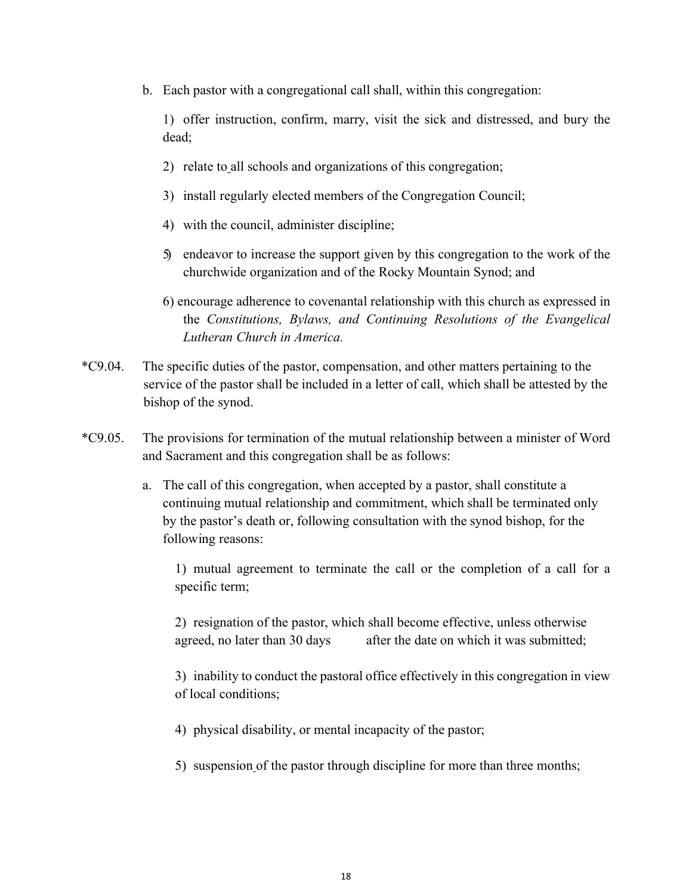b. Each pastor with a congregational call shall, within this congregation:

1) offer instruction, confirm, marry, visit the sick and distressed, and bury the dead;

- 2) relate to all schools and organizations of this congregation;
- 3) install regularly elected members of the Congregation Council;
- 4) with the council, administer discipline;
- 5) endeavor to increase the support given by this congregation to the work of the churchwide organization and of the Rocky Mountain Synod; and
- 6) encourage adherence to covenantal relationship with this church as expressed in the *Constitutions, Bylaws, and Continuing Resolutions of the Evangelical Lutheran Church in America.*
- \*C9.04. The specific duties of the pastor, compensation, and other matters pertaining to the service of the pastor shall be included in a letter of call, which shall be attested by the bishop of the synod.
- \*C9.05. The provisions for termination of the mutual relationship between a minister of Word and Sacrament and this congregation shall be as follows:
	- a. The call of this congregation, when accepted by a pastor, shall constitute a continuing mutual relationship and commitment, which shall be terminated only by the pastor's death or, following consultation with the synod bishop, for the following reasons:

1) mutual agreement to terminate the call or the completion of a call for a specific term;

2) resignation of the pastor, which shall become effective, unless otherwise agreed, no later than 30 days after the date on which it was submitted;

3) inability to conduct the pastoral office effectively in this congregation in view of local conditions;

- 4) physical disability, or mental incapacity of the pastor;
- 5) suspension of the pastor through discipline for more than three months;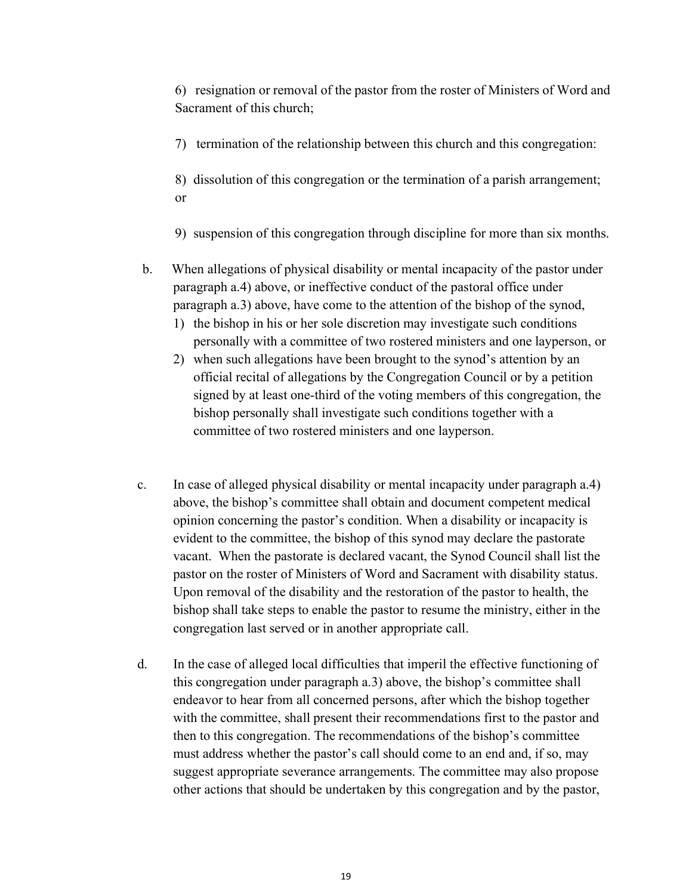6) resignation or removal of the pastor from the roster of Ministers of Word and Sacrament of this church;

7) termination of the relationship between this church and this congregation:

8) dissolution of this congregation or the termination of a parish arrangement; or

- 9) suspension of this congregation through discipline for more than six months.
- b. When allegations of physical disability or mental incapacity of the pastor under paragraph a.4) above, or ineffective conduct of the pastoral office under paragraph a.3) above, have come to the attention of the bishop of the synod,
	- 1) the bishop in his or her sole discretion may investigate such conditions personally with a committee of two rostered ministers and one layperson, or
	- 2) when such allegations have been brought to the synod's attention by an official recital of allegations by the Congregation Council or by a petition signed by at least one-third of the voting members of this congregation, the bishop personally shall investigate such conditions together with a committee of two rostered ministers and one layperson.
- c. In case of alleged physical disability or mental incapacity under paragraph a.4) above, the bishop's committee shall obtain and document competent medical opinion concerning the pastor's condition. When a disability or incapacity is evident to the committee, the bishop of this synod may declare the pastorate vacant. When the pastorate is declared vacant, the Synod Council shall list the pastor on the roster of Ministers of Word and Sacrament with disability status. Upon removal of the disability and the restoration of the pastor to health, the bishop shall take steps to enable the pastor to resume the ministry, either in the congregation last served or in another appropriate call.
- d. In the case of alleged local difficulties that imperil the effective functioning of this congregation under paragraph a.3) above, the bishop's committee shall endeavor to hear from all concerned persons, after which the bishop together with the committee, shall present their recommendations first to the pastor and then to this congregation. The recommendations of the bishop's committee must address whether the pastor's call should come to an end and, if so, may suggest appropriate severance arrangements. The committee may also propose other actions that should be undertaken by this congregation and by the pastor,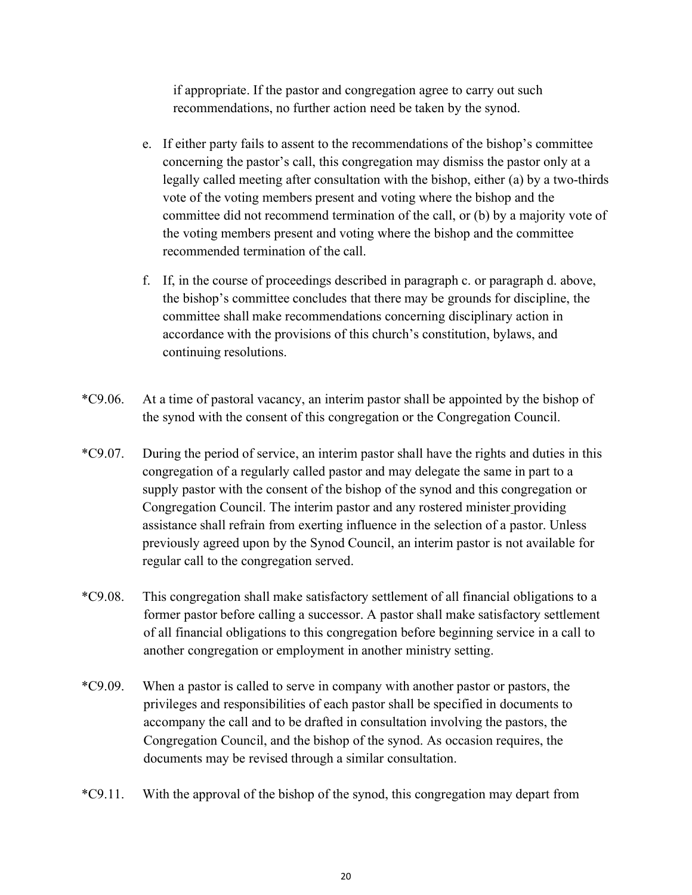if appropriate. If the pastor and congregation agree to carry out such recommendations, no further action need be taken by the synod.

- e. If either party fails to assent to the recommendations of the bishop's committee concerning the pastor's call, this congregation may dismiss the pastor only at a legally called meeting after consultation with the bishop, either (a) by a two-thirds vote of the voting members present and voting where the bishop and the committee did not recommend termination of the call, or (b) by a majority vote of the voting members present and voting where the bishop and the committee recommended termination of the call.
- f. If, in the course of proceedings described in paragraph c. or paragraph d. above, the bishop's committee concludes that there may be grounds for discipline, the committee shall make recommendations concerning disciplinary action in accordance with the provisions of this church's constitution, bylaws, and continuing resolutions.
- \*C9.06. At a time of pastoral vacancy, an interim pastor shall be appointed by the bishop of the synod with the consent of this congregation or the Congregation Council.
- \*C9.07. During the period of service, an interim pastor shall have the rights and duties in this congregation of a regularly called pastor and may delegate the same in part to a supply pastor with the consent of the bishop of the synod and this congregation or Congregation Council. The interim pastor and any rostered minister providing assistance shall refrain from exerting influence in the selection of a pastor. Unless previously agreed upon by the Synod Council, an interim pastor is not available for regular call to the congregation served.
- \*C9.08. This congregation shall make satisfactory settlement of all financial obligations to a former pastor before calling a successor. A pastor shall make satisfactory settlement of all financial obligations to this congregation before beginning service in a call to another congregation or employment in another ministry setting.
- \*C9.09. When a pastor is called to serve in company with another pastor or pastors, the privileges and responsibilities of each pastor shall be specified in documents to accompany the call and to be drafted in consultation involving the pastors, the Congregation Council, and the bishop of the synod. As occasion requires, the documents may be revised through a similar consultation.
- \*C9.11. With the approval of the bishop of the synod, this congregation may depart from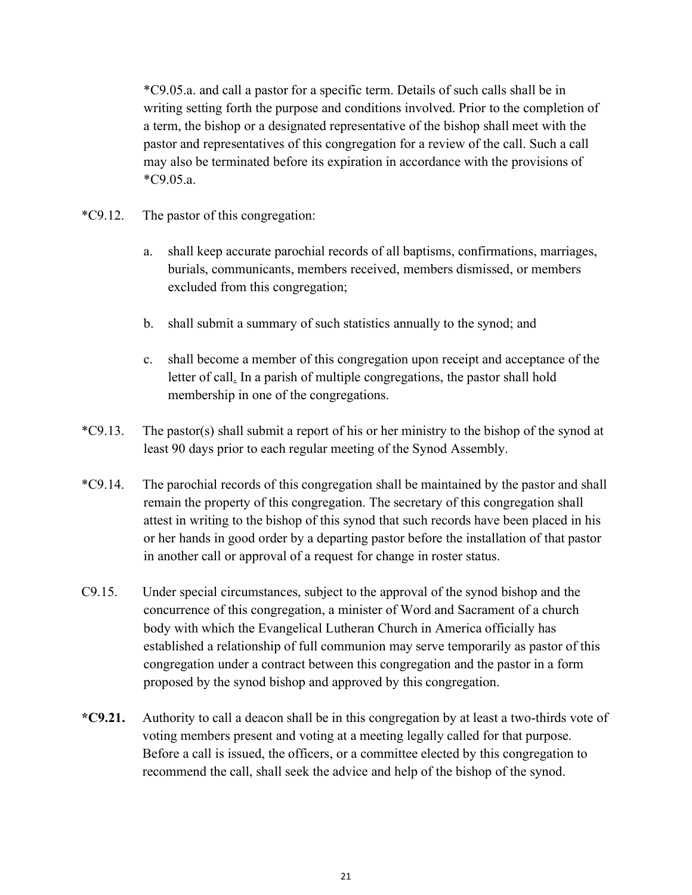\*C9.05.a. and call a pastor for a specific term. Details of such calls shall be in writing setting forth the purpose and conditions involved. Prior to the completion of a term, the bishop or a designated representative of the bishop shall meet with the pastor and representatives of this congregation for a review of the call. Such a call may also be terminated before its expiration in accordance with the provisions of \*C9.05.a.

- \*C9.12. The pastor of this congregation:
	- a. shall keep accurate parochial records of all baptisms, confirmations, marriages, burials, communicants, members received, members dismissed, or members excluded from this congregation;
	- b. shall submit a summary of such statistics annually to the synod; and
	- c. shall become a member of this congregation upon receipt and acceptance of the letter of call. In a parish of multiple congregations, the pastor shall hold membership in one of the congregations.
- \*C9.13. The pastor(s) shall submit a report of his or her ministry to the bishop of the synod at least 90 days prior to each regular meeting of the Synod Assembly.
- \*C9.14. The parochial records of this congregation shall be maintained by the pastor and shall remain the property of this congregation. The secretary of this congregation shall attest in writing to the bishop of this synod that such records have been placed in his or her hands in good order by a departing pastor before the installation of that pastor in another call or approval of a request for change in roster status.
- C9.15. Under special circumstances, subject to the approval of the synod bishop and the concurrence of this congregation, a minister of Word and Sacrament of a church body with which the Evangelical Lutheran Church in America officially has established a relationship of full communion may serve temporarily as pastor of this congregation under a contract between this congregation and the pastor in a form proposed by the synod bishop and approved by this congregation.
- **\*C9.21.** Authority to call a deacon shall be in this congregation by at least a two-thirds vote of voting members present and voting at a meeting legally called for that purpose. Before a call is issued, the officers, or a committee elected by this congregation to recommend the call, shall seek the advice and help of the bishop of the synod.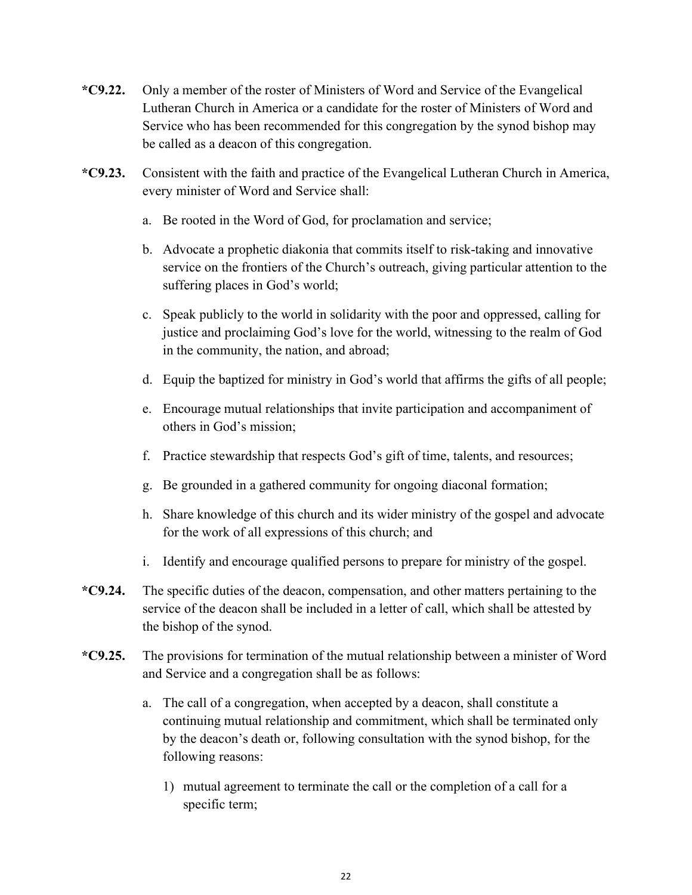- **\*C9.22.** Only a member of the roster of Ministers of Word and Service of the Evangelical Lutheran Church in America or a candidate for the roster of Ministers of Word and Service who has been recommended for this congregation by the synod bishop may be called as a deacon of this congregation.
- **\*C9.23.** Consistent with the faith and practice of the Evangelical Lutheran Church in America, every minister of Word and Service shall:
	- a. Be rooted in the Word of God, for proclamation and service;
	- b. Advocate a prophetic diakonia that commits itself to risk-taking and innovative service on the frontiers of the Church's outreach, giving particular attention to the suffering places in God's world;
	- c. Speak publicly to the world in solidarity with the poor and oppressed, calling for justice and proclaiming God's love for the world, witnessing to the realm of God in the community, the nation, and abroad;
	- d. Equip the baptized for ministry in God's world that affirms the gifts of all people;
	- e. Encourage mutual relationships that invite participation and accompaniment of others in God's mission;
	- f. Practice stewardship that respects God's gift of time, talents, and resources;
	- g. Be grounded in a gathered community for ongoing diaconal formation;
	- h. Share knowledge of this church and its wider ministry of the gospel and advocate for the work of all expressions of this church; and
	- i. Identify and encourage qualified persons to prepare for ministry of the gospel.
- **\*C9.24.** The specific duties of the deacon, compensation, and other matters pertaining to the service of the deacon shall be included in a letter of call, which shall be attested by the bishop of the synod.
- **\*C9.25.** The provisions for termination of the mutual relationship between a minister of Word and Service and a congregation shall be as follows:
	- a. The call of a congregation, when accepted by a deacon, shall constitute a continuing mutual relationship and commitment, which shall be terminated only by the deacon's death or, following consultation with the synod bishop, for the following reasons:
		- 1) mutual agreement to terminate the call or the completion of a call for a specific term;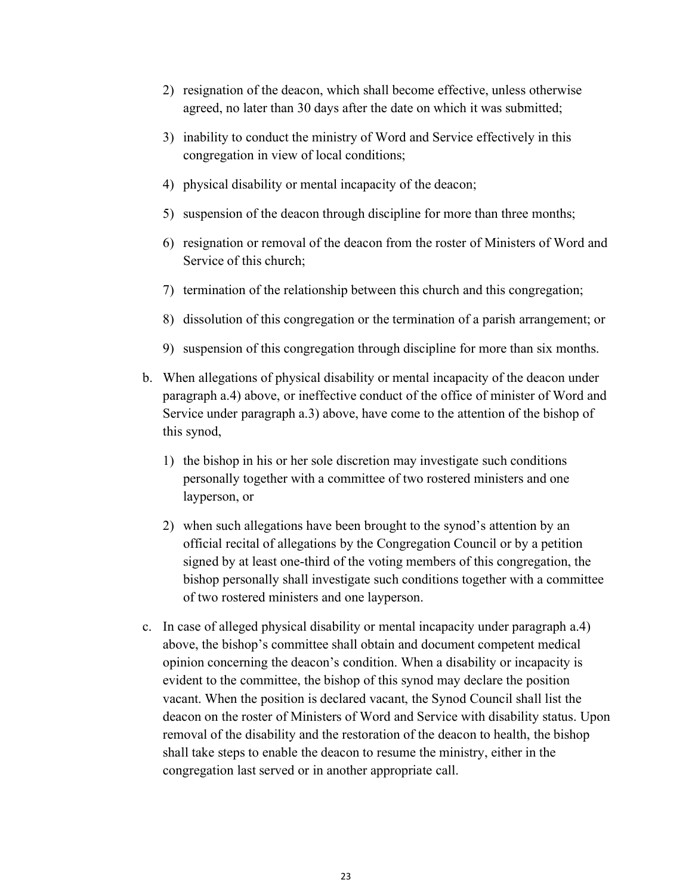- 2) resignation of the deacon, which shall become effective, unless otherwise agreed, no later than 30 days after the date on which it was submitted;
- 3) inability to conduct the ministry of Word and Service effectively in this congregation in view of local conditions;
- 4) physical disability or mental incapacity of the deacon;
- 5) suspension of the deacon through discipline for more than three months;
- 6) resignation or removal of the deacon from the roster of Ministers of Word and Service of this church;
- 7) termination of the relationship between this church and this congregation;
- 8) dissolution of this congregation or the termination of a parish arrangement; or
- 9) suspension of this congregation through discipline for more than six months.
- b. When allegations of physical disability or mental incapacity of the deacon under paragraph a.4) above, or ineffective conduct of the office of minister of Word and Service under paragraph a.3) above, have come to the attention of the bishop of this synod,
	- 1) the bishop in his or her sole discretion may investigate such conditions personally together with a committee of two rostered ministers and one layperson, or
	- 2) when such allegations have been brought to the synod's attention by an official recital of allegations by the Congregation Council or by a petition signed by at least one-third of the voting members of this congregation, the bishop personally shall investigate such conditions together with a committee of two rostered ministers and one layperson.
- c. In case of alleged physical disability or mental incapacity under paragraph a.4) above, the bishop's committee shall obtain and document competent medical opinion concerning the deacon's condition. When a disability or incapacity is evident to the committee, the bishop of this synod may declare the position vacant. When the position is declared vacant, the Synod Council shall list the deacon on the roster of Ministers of Word and Service with disability status. Upon removal of the disability and the restoration of the deacon to health, the bishop shall take steps to enable the deacon to resume the ministry, either in the congregation last served or in another appropriate call.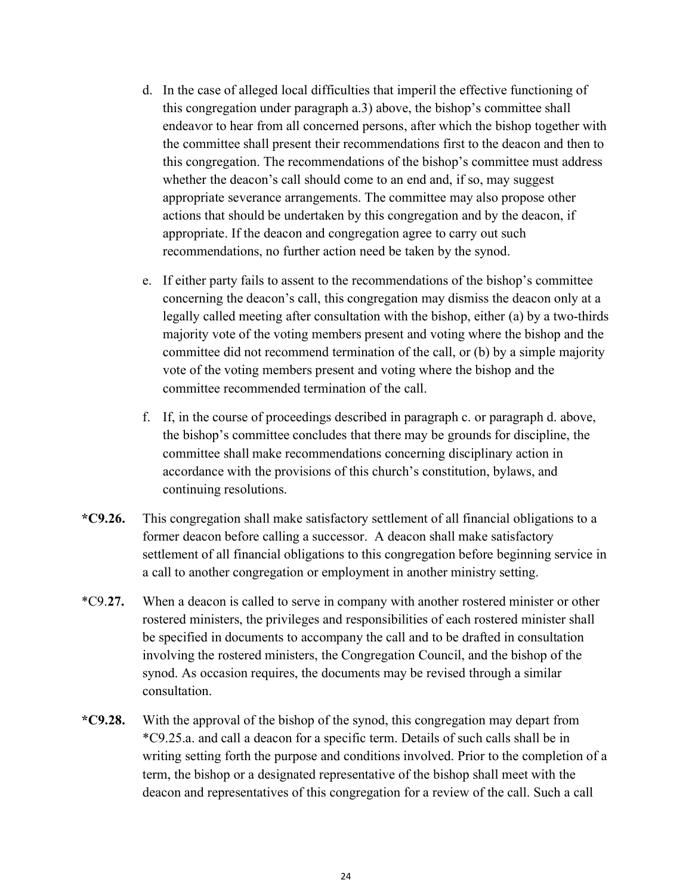- d. In the case of alleged local difficulties that imperil the effective functioning of this congregation under paragraph a.3) above, the bishop's committee shall endeavor to hear from all concerned persons, after which the bishop together with the committee shall present their recommendations first to the deacon and then to this congregation. The recommendations of the bishop's committee must address whether the deacon's call should come to an end and, if so, may suggest appropriate severance arrangements. The committee may also propose other actions that should be undertaken by this congregation and by the deacon, if appropriate. If the deacon and congregation agree to carry out such recommendations, no further action need be taken by the synod.
- e. If either party fails to assent to the recommendations of the bishop's committee concerning the deacon's call, this congregation may dismiss the deacon only at a legally called meeting after consultation with the bishop, either (a) by a two-thirds majority vote of the voting members present and voting where the bishop and the committee did not recommend termination of the call, or (b) by a simple majority vote of the voting members present and voting where the bishop and the committee recommended termination of the call.
- f. If, in the course of proceedings described in paragraph c. or paragraph d. above, the bishop's committee concludes that there may be grounds for discipline, the committee shall make recommendations concerning disciplinary action in accordance with the provisions of this church's constitution, bylaws, and continuing resolutions.
- **\*C9.26.** This congregation shall make satisfactory settlement of all financial obligations to a former deacon before calling a successor. A deacon shall make satisfactory settlement of all financial obligations to this congregation before beginning service in a call to another congregation or employment in another ministry setting.
- \*C9.**27.** When a deacon is called to serve in company with another rostered minister or other rostered ministers, the privileges and responsibilities of each rostered minister shall be specified in documents to accompany the call and to be drafted in consultation involving the rostered ministers, the Congregation Council, and the bishop of the synod. As occasion requires, the documents may be revised through a similar consultation.
- **\*C9.28.** With the approval of the bishop of the synod, this congregation may depart from \*C9.25.a. and call a deacon for a specific term. Details of such calls shall be in writing setting forth the purpose and conditions involved. Prior to the completion of a term, the bishop or a designated representative of the bishop shall meet with the deacon and representatives of this congregation for a review of the call. Such a call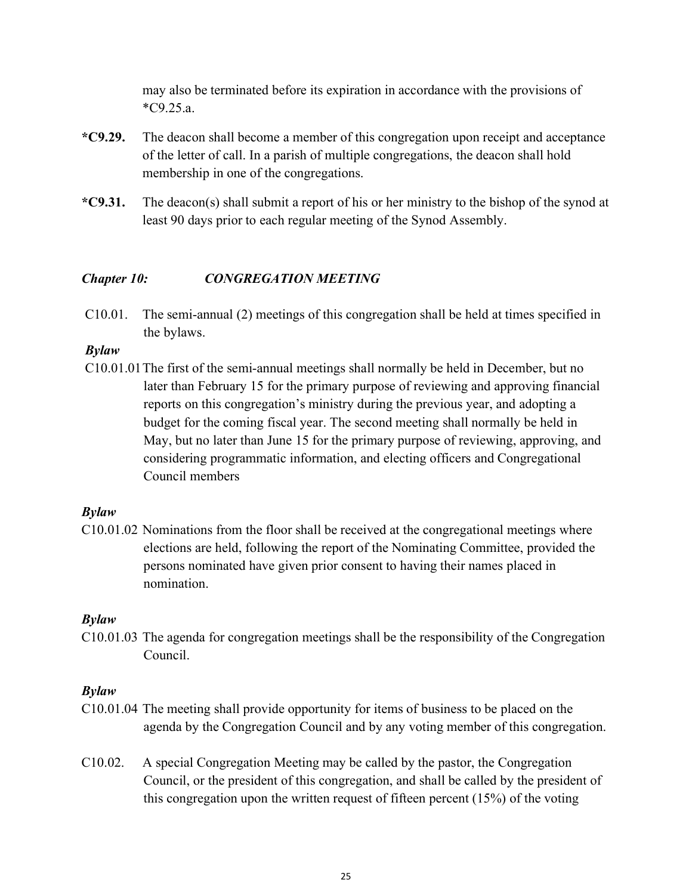may also be terminated before its expiration in accordance with the provisions of \*C9.25.a.

- **\*C9.29.** The deacon shall become a member of this congregation upon receipt and acceptance of the letter of call. In a parish of multiple congregations, the deacon shall hold membership in one of the congregations.
- **\*C9.31.** The deacon(s) shall submit a report of his or her ministry to the bishop of the synod at least 90 days prior to each regular meeting of the Synod Assembly.

## *Chapter 10: CONGREGATION MEETING*

C10.01. The semi-annual (2) meetings of this congregation shall be held at times specified in the bylaws.

## *Bylaw*

C10.01.01The first of the semi-annual meetings shall normally be held in December, but no later than February 15 for the primary purpose of reviewing and approving financial reports on this congregation's ministry during the previous year, and adopting a budget for the coming fiscal year. The second meeting shall normally be held in May, but no later than June 15 for the primary purpose of reviewing, approving, and considering programmatic information, and electing officers and Congregational Council members

## *Bylaw*

C10.01.02 Nominations from the floor shall be received at the congregational meetings where elections are held, following the report of the Nominating Committee, provided the persons nominated have given prior consent to having their names placed in nomination.

### *Bylaw*

C10.01.03 The agenda for congregation meetings shall be the responsibility of the Congregation Council.

## *Bylaw*

- C10.01.04 The meeting shall provide opportunity for items of business to be placed on the agenda by the Congregation Council and by any voting member of this congregation.
- C10.02. A special Congregation Meeting may be called by the pastor, the Congregation Council, or the president of this congregation, and shall be called by the president of this congregation upon the written request of fifteen percent (15%) of the voting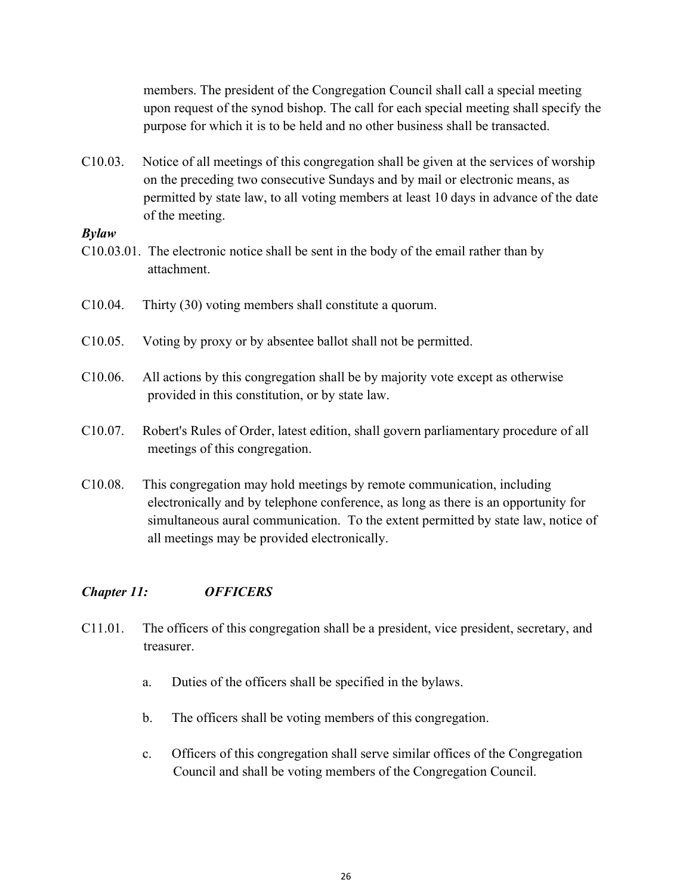members. The president of the Congregation Council shall call a special meeting upon request of the synod bishop. The call for each special meeting shall specify the purpose for which it is to be held and no other business shall be transacted.

C10.03. Notice of all meetings of this congregation shall be given at the services of worship on the preceding two consecutive Sundays and by mail or electronic means, as permitted by state law, to all voting members at least 10 days in advance of the date of the meeting.

#### *Bylaw*

- C10.03.01. The electronic notice shall be sent in the body of the email rather than by attachment.
- C10.04. Thirty (30) voting members shall constitute a quorum.
- C10.05. Voting by proxy or by absentee ballot shall not be permitted.
- C10.06. All actions by this congregation shall be by majority vote except as otherwise provided in this constitution, or by state law.
- C10.07. Robert's Rules of Order, latest edition, shall govern parliamentary procedure of all meetings of this congregation.
- C10.08. This congregation may hold meetings by remote communication, including electronically and by telephone conference, as long as there is an opportunity for simultaneous aural communication. To the extent permitted by state law, notice of all meetings may be provided electronically.

### *Chapter 11: OFFICERS*

- C11.01. The officers of this congregation shall be a president, vice president, secretary, and treasurer.
	- a. Duties of the officers shall be specified in the bylaws.
	- b. The officers shall be voting members of this congregation.
	- c. Officers of this congregation shall serve similar offices of the Congregation Council and shall be voting members of the Congregation Council.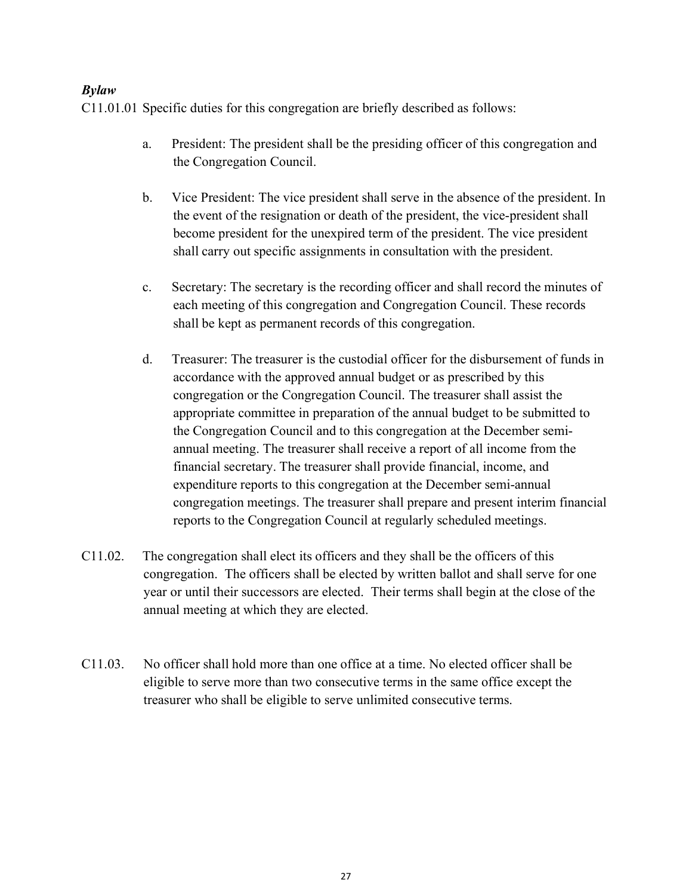## *Bylaw*

C11.01.01 Specific duties for this congregation are briefly described as follows:

- a. President: The president shall be the presiding officer of this congregation and the Congregation Council.
- b. Vice President: The vice president shall serve in the absence of the president. In the event of the resignation or death of the president, the vice-president shall become president for the unexpired term of the president. The vice president shall carry out specific assignments in consultation with the president.
- c. Secretary: The secretary is the recording officer and shall record the minutes of each meeting of this congregation and Congregation Council. These records shall be kept as permanent records of this congregation.
- d. Treasurer: The treasurer is the custodial officer for the disbursement of funds in accordance with the approved annual budget or as prescribed by this congregation or the Congregation Council. The treasurer shall assist the appropriate committee in preparation of the annual budget to be submitted to the Congregation Council and to this congregation at the December semiannual meeting. The treasurer shall receive a report of all income from the financial secretary. The treasurer shall provide financial, income, and expenditure reports to this congregation at the December semi-annual congregation meetings. The treasurer shall prepare and present interim financial reports to the Congregation Council at regularly scheduled meetings.
- C11.02. The congregation shall elect its officers and they shall be the officers of this congregation. The officers shall be elected by written ballot and shall serve for one year or until their successors are elected. Their terms shall begin at the close of the annual meeting at which they are elected.
- C11.03. No officer shall hold more than one office at a time. No elected officer shall be eligible to serve more than two consecutive terms in the same office except the treasurer who shall be eligible to serve unlimited consecutive terms.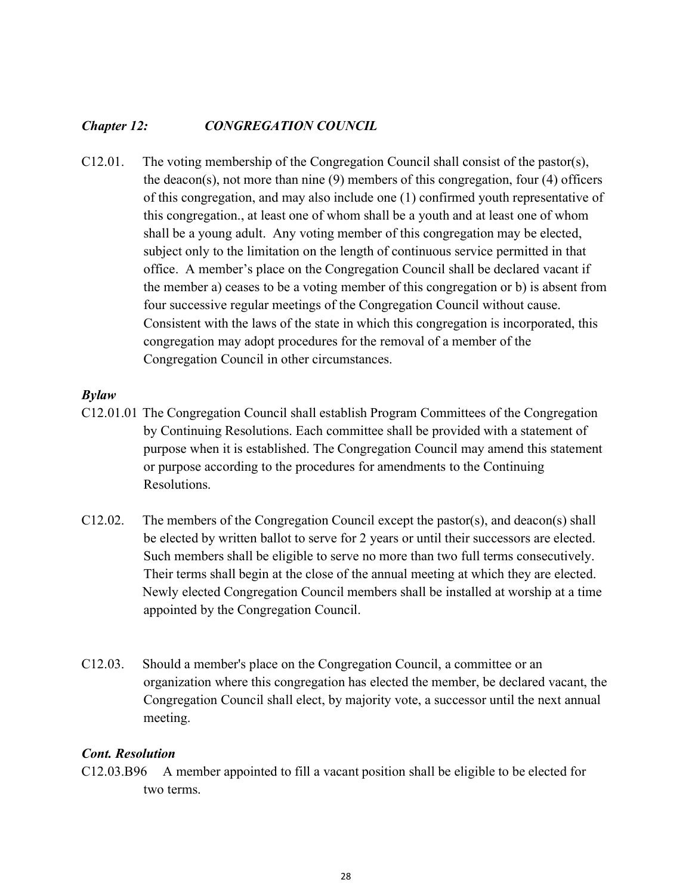### *Chapter 12: CONGREGATION COUNCIL*

C12.01. The voting membership of the Congregation Council shall consist of the pastor(s), the deacon(s), not more than nine (9) members of this congregation, four (4) officers of this congregation, and may also include one (1) confirmed youth representative of this congregation., at least one of whom shall be a youth and at least one of whom shall be a young adult. Any voting member of this congregation may be elected, subject only to the limitation on the length of continuous service permitted in that office. A member's place on the Congregation Council shall be declared vacant if the member a) ceases to be a voting member of this congregation or b) is absent from four successive regular meetings of the Congregation Council without cause. Consistent with the laws of the state in which this congregation is incorporated, this congregation may adopt procedures for the removal of a member of the Congregation Council in other circumstances.

#### *Bylaw*

- C12.01.01 The Congregation Council shall establish Program Committees of the Congregation by Continuing Resolutions. Each committee shall be provided with a statement of purpose when it is established. The Congregation Council may amend this statement or purpose according to the procedures for amendments to the Continuing Resolutions.
- C12.02. The members of the Congregation Council except the pastor(s), and deacon(s) shall be elected by written ballot to serve for 2 years or until their successors are elected. Such members shall be eligible to serve no more than two full terms consecutively. Their terms shall begin at the close of the annual meeting at which they are elected. Newly elected Congregation Council members shall be installed at worship at a time appointed by the Congregation Council.
- C12.03. Should a member's place on the Congregation Council, a committee or an organization where this congregation has elected the member, be declared vacant, the Congregation Council shall elect, by majority vote, a successor until the next annual meeting.

### *Cont. Resolution*

C12.03.B96 A member appointed to fill a vacant position shall be eligible to be elected for two terms.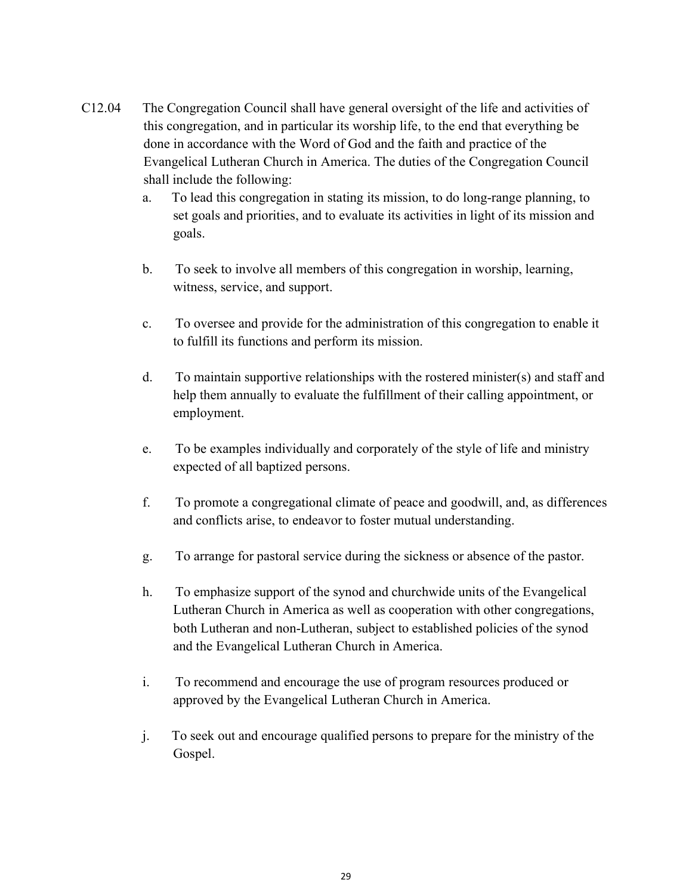- C12.04 The Congregation Council shall have general oversight of the life and activities of this congregation, and in particular its worship life, to the end that everything be done in accordance with the Word of God and the faith and practice of the Evangelical Lutheran Church in America. The duties of the Congregation Council shall include the following:
	- a. To lead this congregation in stating its mission, to do long-range planning, to set goals and priorities, and to evaluate its activities in light of its mission and goals.
	- b. To seek to involve all members of this congregation in worship, learning, witness, service, and support.
	- c. To oversee and provide for the administration of this congregation to enable it to fulfill its functions and perform its mission.
	- d. To maintain supportive relationships with the rostered minister(s) and staff and help them annually to evaluate the fulfillment of their calling appointment, or employment.
	- e. To be examples individually and corporately of the style of life and ministry expected of all baptized persons.
	- f. To promote a congregational climate of peace and goodwill, and, as differences and conflicts arise, to endeavor to foster mutual understanding.
	- g. To arrange for pastoral service during the sickness or absence of the pastor.
	- h. To emphasize support of the synod and churchwide units of the Evangelical Lutheran Church in America as well as cooperation with other congregations, both Lutheran and non-Lutheran, subject to established policies of the synod and the Evangelical Lutheran Church in America.
	- i. To recommend and encourage the use of program resources produced or approved by the Evangelical Lutheran Church in America.
	- j. To seek out and encourage qualified persons to prepare for the ministry of the Gospel.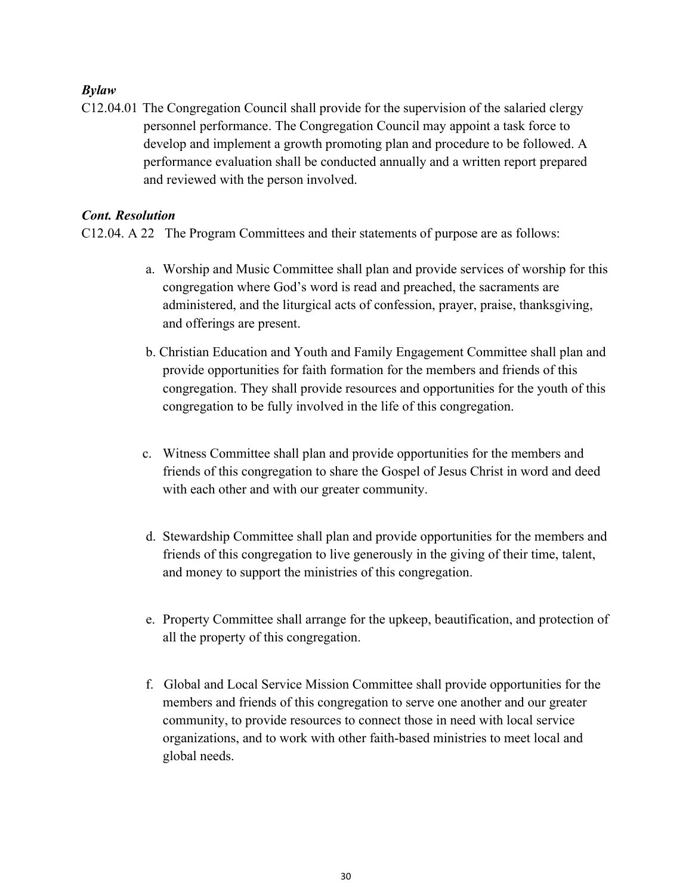## *Bylaw*

C12.04.01 The Congregation Council shall provide for the supervision of the salaried clergy personnel performance. The Congregation Council may appoint a task force to develop and implement a growth promoting plan and procedure to be followed. A performance evaluation shall be conducted annually and a written report prepared and reviewed with the person involved.

## *Cont. Resolution*

C12.04. A 22 The Program Committees and their statements of purpose are as follows:

- a. Worship and Music Committee shall plan and provide services of worship for this congregation where God's word is read and preached, the sacraments are administered, and the liturgical acts of confession, prayer, praise, thanksgiving, and offerings are present.
- b. Christian Education and Youth and Family Engagement Committee shall plan and provide opportunities for faith formation for the members and friends of this congregation. They shall provide resources and opportunities for the youth of this congregation to be fully involved in the life of this congregation.
- c. Witness Committee shall plan and provide opportunities for the members and friends of this congregation to share the Gospel of Jesus Christ in word and deed with each other and with our greater community.
- d. Stewardship Committee shall plan and provide opportunities for the members and friends of this congregation to live generously in the giving of their time, talent, and money to support the ministries of this congregation.
- e. Property Committee shall arrange for the upkeep, beautification, and protection of all the property of this congregation.
- f. Global and Local Service Mission Committee shall provide opportunities for the members and friends of this congregation to serve one another and our greater community, to provide resources to connect those in need with local service organizations, and to work with other faith-based ministries to meet local and global needs.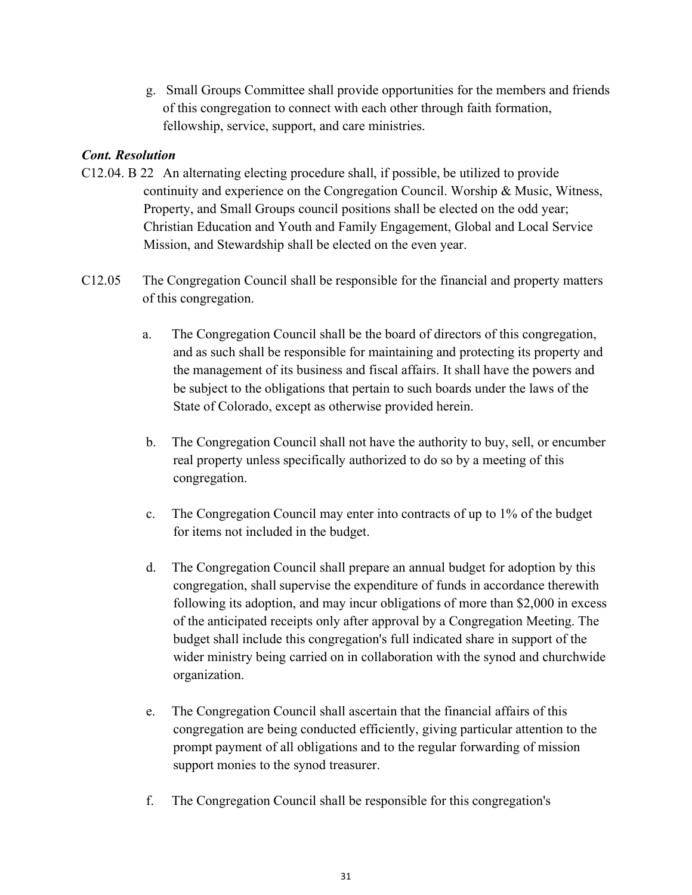g. Small Groups Committee shall provide opportunities for the members and friends of this congregation to connect with each other through faith formation, fellowship, service, support, and care ministries.

## *Cont. Resolution*

- C12.04. B 22 An alternating electing procedure shall, if possible, be utilized to provide continuity and experience on the Congregation Council. Worship & Music, Witness, Property, and Small Groups council positions shall be elected on the odd year; Christian Education and Youth and Family Engagement, Global and Local Service Mission, and Stewardship shall be elected on the even year.
- C12.05 The Congregation Council shall be responsible for the financial and property matters of this congregation.
	- a. The Congregation Council shall be the board of directors of this congregation, and as such shall be responsible for maintaining and protecting its property and the management of its business and fiscal affairs. It shall have the powers and be subject to the obligations that pertain to such boards under the laws of the State of Colorado, except as otherwise provided herein.
	- b. The Congregation Council shall not have the authority to buy, sell, or encumber real property unless specifically authorized to do so by a meeting of this congregation.
	- c. The Congregation Council may enter into contracts of up to 1% of the budget for items not included in the budget.
	- d. The Congregation Council shall prepare an annual budget for adoption by this congregation, shall supervise the expenditure of funds in accordance therewith following its adoption, and may incur obligations of more than \$2,000 in excess of the anticipated receipts only after approval by a Congregation Meeting. The budget shall include this congregation's full indicated share in support of the wider ministry being carried on in collaboration with the synod and churchwide organization.
	- e. The Congregation Council shall ascertain that the financial affairs of this congregation are being conducted efficiently, giving particular attention to the prompt payment of all obligations and to the regular forwarding of mission support monies to the synod treasurer.
	- f. The Congregation Council shall be responsible for this congregation's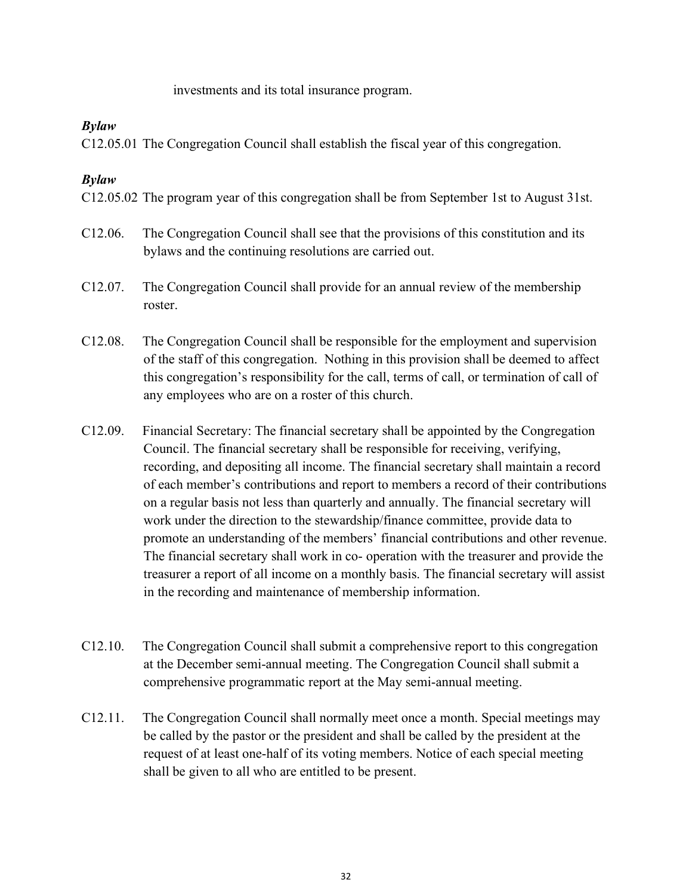investments and its total insurance program.

#### *Bylaw*

C12.05.01 The Congregation Council shall establish the fiscal year of this congregation.

#### *Bylaw*

C12.05.02 The program year of this congregation shall be from September 1st to August 31st.

- C12.06. The Congregation Council shall see that the provisions of this constitution and its bylaws and the continuing resolutions are carried out.
- C12.07. The Congregation Council shall provide for an annual review of the membership roster.
- C12.08. The Congregation Council shall be responsible for the employment and supervision of the staff of this congregation. Nothing in this provision shall be deemed to affect this congregation's responsibility for the call, terms of call, or termination of call of any employees who are on a roster of this church.
- C12.09. Financial Secretary: The financial secretary shall be appointed by the Congregation Council. The financial secretary shall be responsible for receiving, verifying, recording, and depositing all income. The financial secretary shall maintain a record of each member's contributions and report to members a record of their contributions on a regular basis not less than quarterly and annually. The financial secretary will work under the direction to the stewardship/finance committee, provide data to promote an understanding of the members' financial contributions and other revenue. The financial secretary shall work in co- operation with the treasurer and provide the treasurer a report of all income on a monthly basis. The financial secretary will assist in the recording and maintenance of membership information.
- C12.10. The Congregation Council shall submit a comprehensive report to this congregation at the December semi-annual meeting. The Congregation Council shall submit a comprehensive programmatic report at the May semi-annual meeting.
- C12.11. The Congregation Council shall normally meet once a month. Special meetings may be called by the pastor or the president and shall be called by the president at the request of at least one-half of its voting members. Notice of each special meeting shall be given to all who are entitled to be present.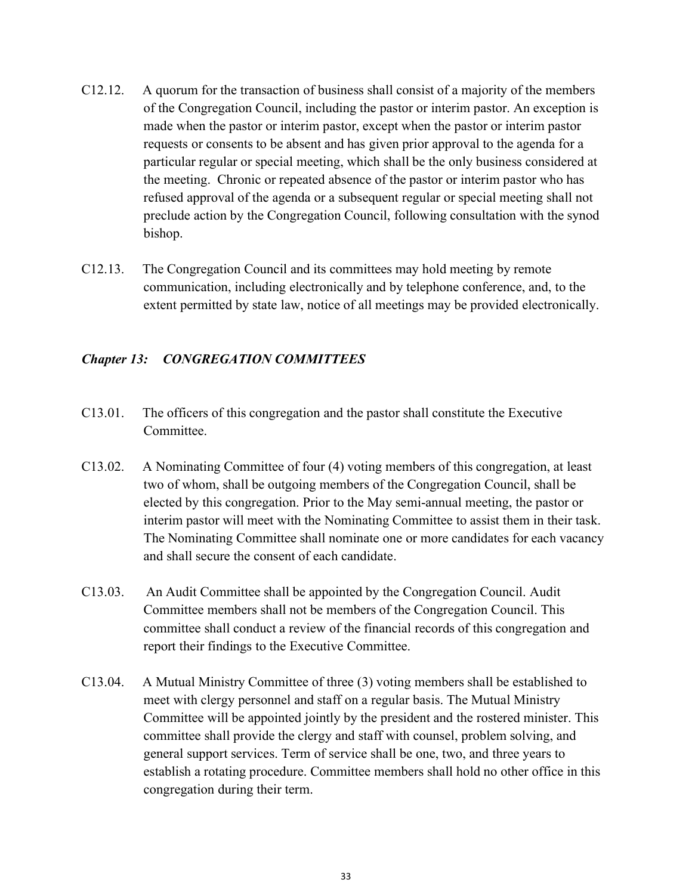- C12.12. A quorum for the transaction of business shall consist of a majority of the members of the Congregation Council, including the pastor or interim pastor. An exception is made when the pastor or interim pastor, except when the pastor or interim pastor requests or consents to be absent and has given prior approval to the agenda for a particular regular or special meeting, which shall be the only business considered at the meeting. Chronic or repeated absence of the pastor or interim pastor who has refused approval of the agenda or a subsequent regular or special meeting shall not preclude action by the Congregation Council, following consultation with the synod bishop.
- C12.13. The Congregation Council and its committees may hold meeting by remote communication, including electronically and by telephone conference, and, to the extent permitted by state law, notice of all meetings may be provided electronically.

## *Chapter 13: CONGREGATION COMMITTEES*

- C13.01. The officers of this congregation and the pastor shall constitute the Executive Committee.
- C13.02. A Nominating Committee of four (4) voting members of this congregation, at least two of whom, shall be outgoing members of the Congregation Council, shall be elected by this congregation. Prior to the May semi-annual meeting, the pastor or interim pastor will meet with the Nominating Committee to assist them in their task. The Nominating Committee shall nominate one or more candidates for each vacancy and shall secure the consent of each candidate.
- C13.03. An Audit Committee shall be appointed by the Congregation Council. Audit Committee members shall not be members of the Congregation Council. This committee shall conduct a review of the financial records of this congregation and report their findings to the Executive Committee.
- C13.04. A Mutual Ministry Committee of three (3) voting members shall be established to meet with clergy personnel and staff on a regular basis. The Mutual Ministry Committee will be appointed jointly by the president and the rostered minister. This committee shall provide the clergy and staff with counsel, problem solving, and general support services. Term of service shall be one, two, and three years to establish a rotating procedure. Committee members shall hold no other office in this congregation during their term.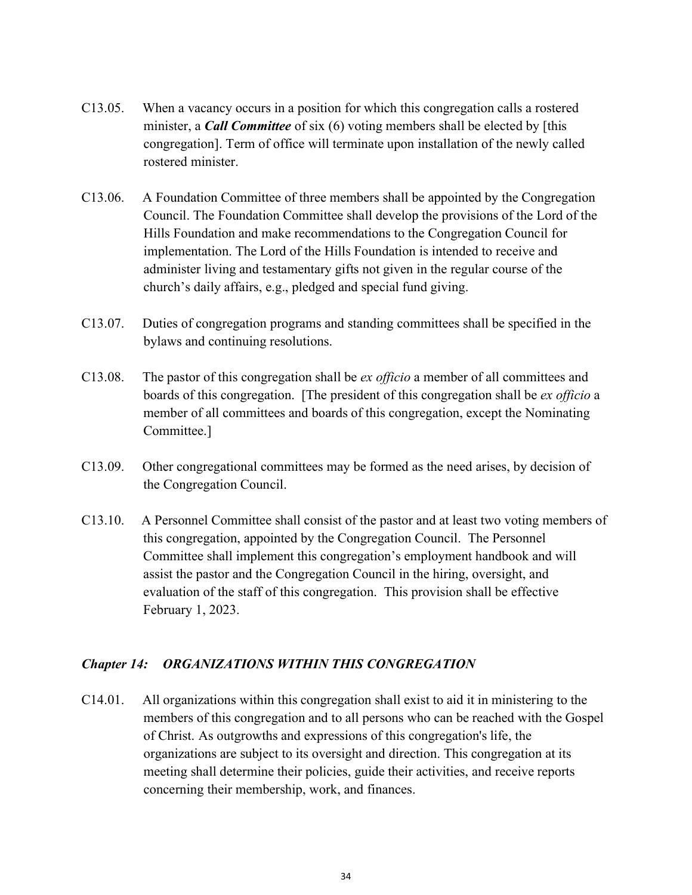- C13.05. When a vacancy occurs in a position for which this congregation calls a rostered minister, a *Call Committee* of six (6) voting members shall be elected by [this congregation]. Term of office will terminate upon installation of the newly called rostered minister.
- C13.06. A Foundation Committee of three members shall be appointed by the Congregation Council. The Foundation Committee shall develop the provisions of the Lord of the Hills Foundation and make recommendations to the Congregation Council for implementation. The Lord of the Hills Foundation is intended to receive and administer living and testamentary gifts not given in the regular course of the church's daily affairs, e.g., pledged and special fund giving.
- C13.07. Duties of congregation programs and standing committees shall be specified in the bylaws and continuing resolutions.
- C13.08. The pastor of this congregation shall be *ex officio* a member of all committees and boards of this congregation. [The president of this congregation shall be *ex officio* a member of all committees and boards of this congregation, except the Nominating Committee.]
- C13.09. Other congregational committees may be formed as the need arises, by decision of the Congregation Council.
- C13.10.A Personnel Committee shall consist of the pastor and at least two voting members of this congregation, appointed by the Congregation Council. The Personnel Committee shall implement this congregation's employment handbook and will assist the pastor and the Congregation Council in the hiring, oversight, and evaluation of the staff of this congregation. This provision shall be effective February 1, 2023.

### *Chapter 14: ORGANIZATIONS WITHIN THIS CONGREGATION*

C14.01. All organizations within this congregation shall exist to aid it in ministering to the members of this congregation and to all persons who can be reached with the Gospel of Christ. As outgrowths and expressions of this congregation's life, the organizations are subject to its oversight and direction. This congregation at its meeting shall determine their policies, guide their activities, and receive reports concerning their membership, work, and finances.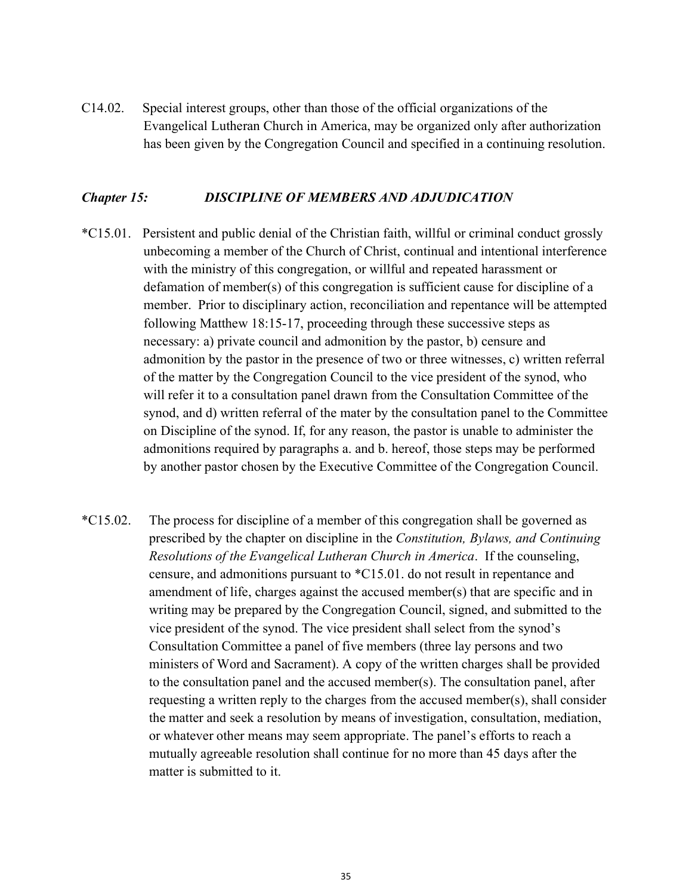C14.02. Special interest groups, other than those of the official organizations of the Evangelical Lutheran Church in America, may be organized only after authorization has been given by the Congregation Council and specified in a continuing resolution.

#### *Chapter 15: DISCIPLINE OF MEMBERS AND ADJUDICATION*

- \*C15.01. Persistent and public denial of the Christian faith, willful or criminal conduct grossly unbecoming a member of the Church of Christ, continual and intentional interference with the ministry of this congregation, or willful and repeated harassment or defamation of member(s) of this congregation is sufficient cause for discipline of a member. Prior to disciplinary action, reconciliation and repentance will be attempted following Matthew 18:15-17, proceeding through these successive steps as necessary: a) private council and admonition by the pastor, b) censure and admonition by the pastor in the presence of two or three witnesses, c) written referral of the matter by the Congregation Council to the vice president of the synod, who will refer it to a consultation panel drawn from the Consultation Committee of the synod, and d) written referral of the mater by the consultation panel to the Committee on Discipline of the synod. If, for any reason, the pastor is unable to administer the admonitions required by paragraphs a. and b. hereof, those steps may be performed by another pastor chosen by the Executive Committee of the Congregation Council.
- \*C15.02. The process for discipline of a member of this congregation shall be governed as prescribed by the chapter on discipline in the *Constitution, Bylaws, and Continuing Resolutions of the Evangelical Lutheran Church in America*.If the counseling, censure, and admonitions pursuant to \*C15.01. do not result in repentance and amendment of life, charges against the accused member(s) that are specific and in writing may be prepared by the Congregation Council, signed, and submitted to the vice president of the synod. The vice president shall select from the synod's Consultation Committee a panel of five members (three lay persons and two ministers of Word and Sacrament). A copy of the written charges shall be provided to the consultation panel and the accused member(s). The consultation panel, after requesting a written reply to the charges from the accused member(s), shall consider the matter and seek a resolution by means of investigation, consultation, mediation, or whatever other means may seem appropriate. The panel's efforts to reach a mutually agreeable resolution shall continue for no more than 45 days after the matter is submitted to it.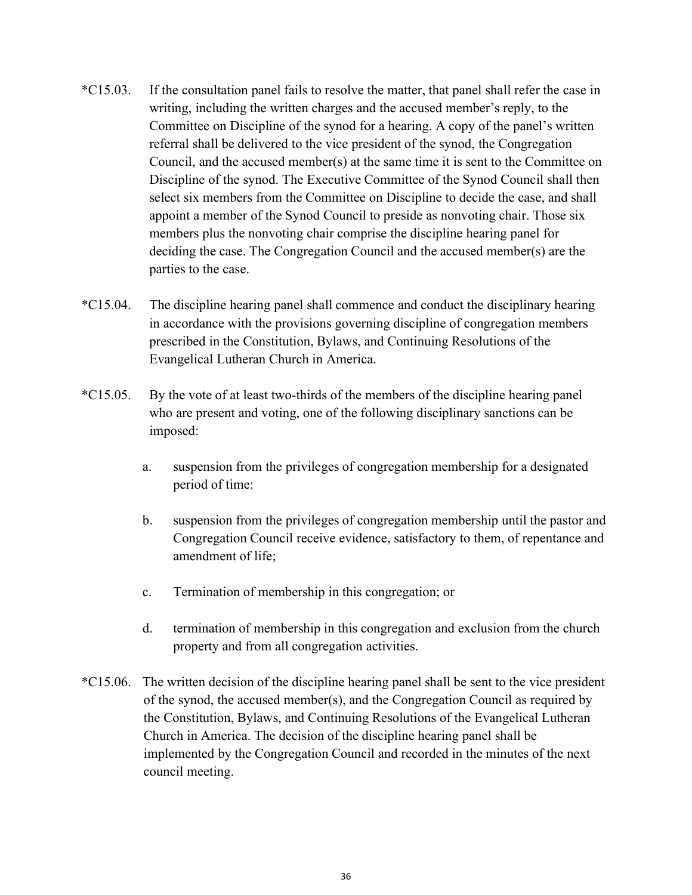- \*C15.03. If the consultation panel fails to resolve the matter, that panel shall refer the case in writing, including the written charges and the accused member's reply, to the Committee on Discipline of the synod for a hearing. A copy of the panel's written referral shall be delivered to the vice president of the synod, the Congregation Council, and the accused member(s) at the same time it is sent to the Committee on Discipline of the synod. The Executive Committee of the Synod Council shall then select six members from the Committee on Discipline to decide the case, and shall appoint a member of the Synod Council to preside as nonvoting chair. Those six members plus the nonvoting chair comprise the discipline hearing panel for deciding the case. The Congregation Council and the accused member(s) are the parties to the case.
- \*C15.04. The discipline hearing panel shall commence and conduct the disciplinary hearing in accordance with the provisions governing discipline of congregation members prescribed in the Constitution, Bylaws, and Continuing Resolutions of the Evangelical Lutheran Church in America.
- \*C15.05. By the vote of at least two-thirds of the members of the discipline hearing panel who are present and voting, one of the following disciplinary sanctions can be imposed:
	- a. suspension from the privileges of congregation membership for a designated period of time:
	- b. suspension from the privileges of congregation membership until the pastor and Congregation Council receive evidence, satisfactory to them, of repentance and amendment of life;
	- c. Termination of membership in this congregation; or
	- d. termination of membership in this congregation and exclusion from the church property and from all congregation activities.
- \*C15.06. The written decision of the discipline hearing panel shall be sent to the vice president of the synod, the accused member(s), and the Congregation Council as required by the Constitution, Bylaws, and Continuing Resolutions of the Evangelical Lutheran Church in America. The decision of the discipline hearing panel shall be implemented by the Congregation Council and recorded in the minutes of the next council meeting.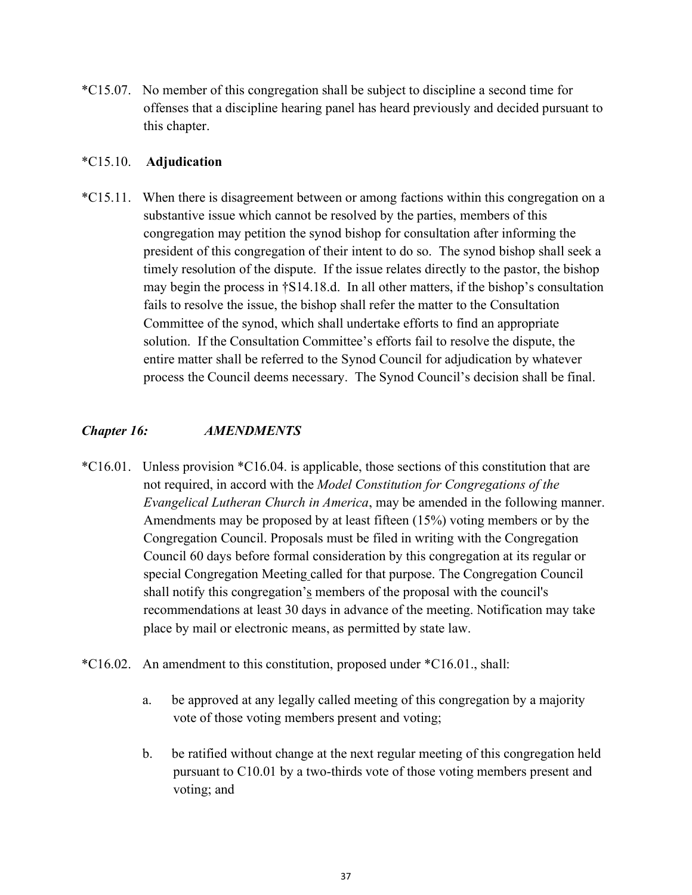\*C15.07. No member of this congregation shall be subject to discipline a second time for offenses that a discipline hearing panel has heard previously and decided pursuant to this chapter.

#### \*C15.10. **Adjudication**

\*C15.11. When there is disagreement between or among factions within this congregation on a substantive issue which cannot be resolved by the parties, members of this congregation may petition the synod bishop for consultation after informing the president of this congregation of their intent to do so. The synod bishop shall seek a timely resolution of the dispute. If the issue relates directly to the pastor, the bishop may begin the process in †S14.18.d. In all other matters, if the bishop's consultation fails to resolve the issue, the bishop shall refer the matter to the Consultation Committee of the synod, which shall undertake efforts to find an appropriate solution. If the Consultation Committee's efforts fail to resolve the dispute, the entire matter shall be referred to the Synod Council for adjudication by whatever process the Council deems necessary. The Synod Council's decision shall be final.

#### *Chapter 16: AMENDMENTS*

- \*C16.01. Unless provision \*C16.04. is applicable, those sections of this constitution that are not required, in accord with the *Model Constitution for Congregations of the Evangelical Lutheran Church in America*, may be amended in the following manner. Amendments may be proposed by at least fifteen (15%) voting members or by the Congregation Council. Proposals must be filed in writing with the Congregation Council 60 days before formal consideration by this congregation at its regular or special Congregation Meeting called for that purpose. The Congregation Council shall notify this congregation's members of the proposal with the council's recommendations at least 30 days in advance of the meeting. Notification may take place by mail or electronic means, as permitted by state law.
- \*C16.02. An amendment to this constitution, proposed under \*C16.01., shall:
	- a. be approved at any legally called meeting of this congregation by a majority vote of those voting members present and voting;
	- b. be ratified without change at the next regular meeting of this congregation held pursuant to C10.01 by a two-thirds vote of those voting members present and voting; and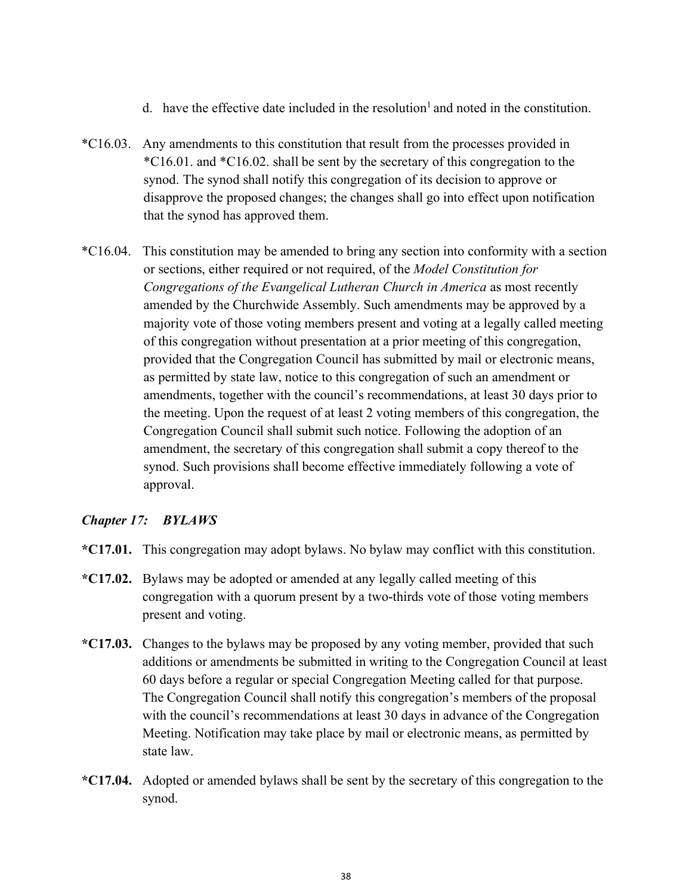- d. have the effective date included in the resolution<sup>1</sup> and noted in the constitution.
- \*C16.03. Any amendments to this constitution that result from the processes provided in \*C16.01. and \*C16.02. shall be sent by the secretary of this congregation to the synod. The synod shall notify this congregation of its decision to approve or disapprove the proposed changes; the changes shall go into effect upon notification that the synod has approved them.
- \*C16.04. This constitution may be amended to bring any section into conformity with a section or sections, either required or not required, of the *Model Constitution for Congregations of the Evangelical Lutheran Church in America* as most recently amended by the Churchwide Assembly. Such amendments may be approved by a majority vote of those voting members present and voting at a legally called meeting of this congregation without presentation at a prior meeting of this congregation, provided that the Congregation Council has submitted by mail or electronic means, as permitted by state law, notice to this congregation of such an amendment or amendments, together with the council's recommendations, at least 30 days prior to the meeting. Upon the request of at least 2 voting members of this congregation, the Congregation Council shall submit such notice. Following the adoption of an amendment, the secretary of this congregation shall submit a copy thereof to the synod. Such provisions shall become effective immediately following a vote of approval.

### *Chapter 17: BYLAWS*

- **\*C17.01.** This congregation may adopt bylaws. No bylaw may conflict with this constitution.
- **\*C17.02.** Bylaws may be adopted or amended at any legally called meeting of this congregation with a quorum present by a two-thirds vote of those voting members present and voting.
- **\*C17.03.** Changes to the bylaws may be proposed by any voting member, provided that such additions or amendments be submitted in writing to the Congregation Council at least 60 days before a regular or special Congregation Meeting called for that purpose. The Congregation Council shall notify this congregation's members of the proposal with the council's recommendations at least 30 days in advance of the Congregation Meeting. Notification may take place by mail or electronic means, as permitted by state law.
- **\*C17.04.** Adopted or amended bylaws shall be sent by the secretary of this congregation to the synod.